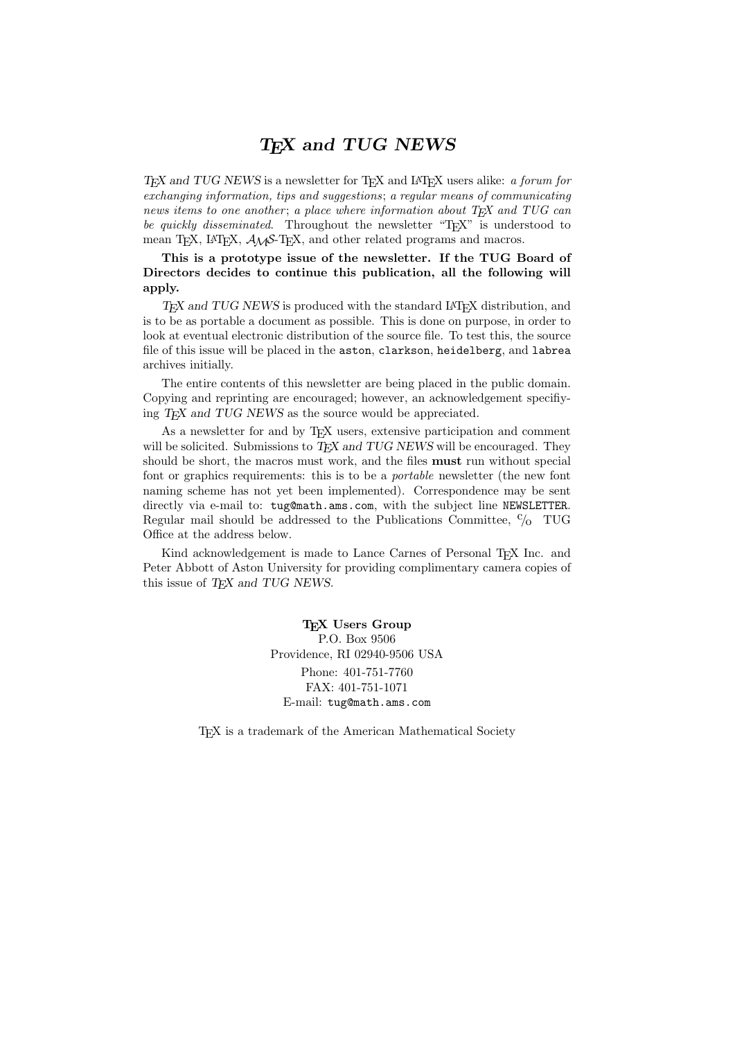## TEX and TUG NEWS

TEX and TUG NEWS is a newsletter for TEX and IATEX users alike: a forum for exchanging information, tips and suggestions; a regular means of communicating news items to one another; a place where information about  $T_{FX}$  and  $TUG$  can be quickly disseminated. Throughout the newsletter " $T_{F}X$ " is understood to mean TEX, LATEX,  $\mathcal{A}_{\mathcal{M}}\mathcal{S}$ -TEX, and other related programs and macros.

This is a prototype issue of the newsletter. If the TUG Board of Directors decides to continue this publication, all the following will apply.

TEX and TUG NEWS is produced with the standard LATEX distribution, and is to be as portable a document as possible. This is done on purpose, in order to look at eventual electronic distribution of the source file. To test this, the source file of this issue will be placed in the aston, clarkson, heidelberg, and labrea archives initially.

The entire contents of this newsletter are being placed in the public domain. Copying and reprinting are encouraged; however, an acknowledgement specifiying T<sub>F</sub>X and TUG NEWS as the source would be appreciated.

As a newsletter for and by TEX users, extensive participation and comment will be solicited. Submissions to TEX and TUG NEWS will be encouraged. They should be short, the macros must work, and the files must run without special font or graphics requirements: this is to be a portable newsletter (the new font naming scheme has not yet been implemented). Correspondence may be sent directly via e-mail to: tug@math.ams.com, with the subject line NEWSLETTER. Regular mail should be addressed to the Publications Committee,  $\frac{c}{0}$  TUG Office at the address below.

Kind acknowledgement is made to Lance Carnes of Personal T<sub>EX</sub> Inc. and Peter Abbott of Aston University for providing complimentary camera copies of this issue of TEX and TUG NEWS.

> T<sub>E</sub>X Users Group P.O. Box 9506 Providence, RI 02940-9506 USA Phone: 401-751-7760 FAX: 401-751-1071 E-mail: tug@math.ams.com

TEX is a trademark of the American Mathematical Society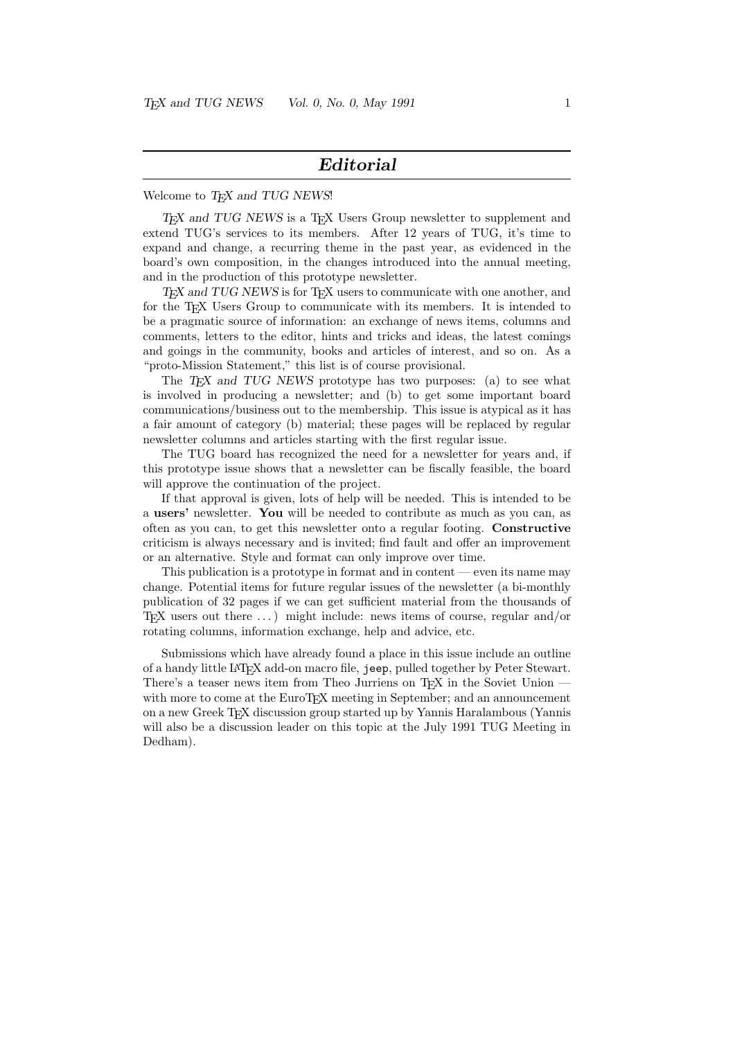### Editorial

#### Welcome to TFX and TUG NEWS!

T<sub>E</sub>X and TUG NEWS is a T<sub>E</sub>X Users Group newsletter to supplement and extend TUG's services to its members. After 12 years of TUG, it's time to expand and change, a recurring theme in the past year, as evidenced in the board's own composition, in the changes introduced into the annual meeting, and in the production of this prototype newsletter.

T<sub>E</sub>X and TUG NEWS is for T<sub>E</sub>X users to communicate with one another, and for the T<sub>EX</sub> Users Group to communicate with its members. It is intended to be a pragmatic source of information: an exchange of news items, columns and comments, letters to the editor, hints and tricks and ideas, the latest comings and goings in the community, books and articles of interest, and so on. As a "proto-Mission Statement," this list is of course provisional.

The  $T_F X$  and TUG NEWS prototype has two purposes: (a) to see what is involved in producing a newsletter; and (b) to get some important board communications/business out to the membership. This issue is atypical as it has a fair amount of category (b) material; these pages will be replaced by regular newsletter columns and articles starting with the first regular issue.

The TUG board has recognized the need for a newsletter for years and, if this prototype issue shows that a newsletter can be fiscally feasible, the board will approve the continuation of the project.

If that approval is given, lots of help will be needed. This is intended to be a users' newsletter. You will be needed to contribute as much as you can, as often as you can, to get this newsletter onto a regular footing. Constructive criticism is always necessary and is invited; find fault and offer an improvement or an alternative. Style and format can only improve over time.

This publication is a prototype in format and in content — even its name may change. Potential items for future regular issues of the newsletter (a bi-monthly publication of 32 pages if we can get sufficient material from the thousands of T<sub>EX</sub> users out there  $\dots$ ) might include: news items of course, regular and/or rotating columns, information exchange, help and advice, etc.

Submissions which have already found a place in this issue include an outline of a handy little LATEX add-on macro file, jeep, pulled together by Peter Stewart. There's a teaser news item from Theo Jurriens on T<sub>E</sub>X in the Soviet Union – with more to come at the EuroT<sub>F</sub>X meeting in September; and an announcement on a new Greek TEX discussion group started up by Yannis Haralambous (Yannis will also be a discussion leader on this topic at the July 1991 TUG Meeting in Dedham).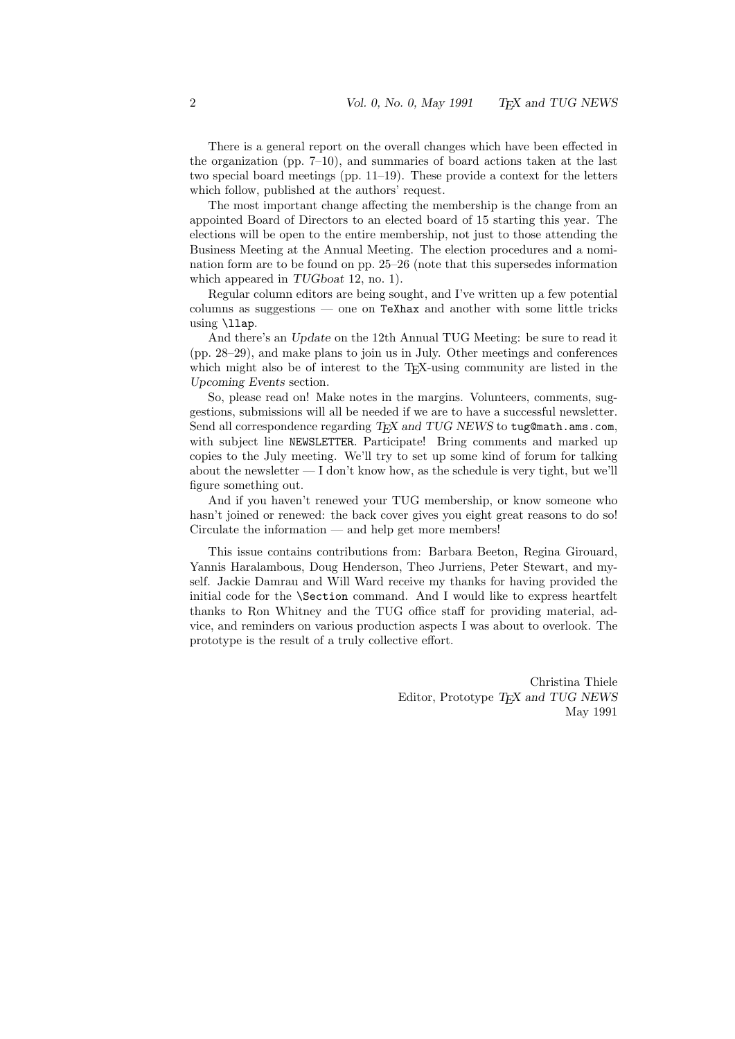There is a general report on the overall changes which have been effected in the organization (pp.  $7-10$ ), and summaries of board actions taken at the last two special board meetings (pp. 11–19). These provide a context for the letters which follow, published at the authors' request.

The most important change affecting the membership is the change from an appointed Board of Directors to an elected board of 15 starting this year. The elections will be open to the entire membership, not just to those attending the Business Meeting at the Annual Meeting. The election procedures and a nomination form are to be found on pp. 25–26 (note that this supersedes information which appeared in TUG boat 12, no. 1).

Regular column editors are being sought, and I've written up a few potential columns as suggestions — one on TeXhax and another with some little tricks using \llap.

And there's an Update on the 12th Annual TUG Meeting: be sure to read it (pp. 28–29), and make plans to join us in July. Other meetings and conferences which might also be of interest to the TEX-using community are listed in the Upcoming Events section.

So, please read on! Make notes in the margins. Volunteers, comments, suggestions, submissions will all be needed if we are to have a successful newsletter. Send all correspondence regarding  $T_F X$  and  $TUG$  NEWS to tug@math.ams.com, with subject line NEWSLETTER. Participate! Bring comments and marked up copies to the July meeting. We'll try to set up some kind of forum for talking about the newsletter  $- I$  don't know how, as the schedule is very tight, but we'll figure something out.

And if you haven't renewed your TUG membership, or know someone who hasn't joined or renewed: the back cover gives you eight great reasons to do so! Circulate the information — and help get more members!

This issue contains contributions from: Barbara Beeton, Regina Girouard, Yannis Haralambous, Doug Henderson, Theo Jurriens, Peter Stewart, and myself. Jackie Damrau and Will Ward receive my thanks for having provided the initial code for the \Section command. And I would like to express heartfelt thanks to Ron Whitney and the TUG office staff for providing material, advice, and reminders on various production aspects I was about to overlook. The prototype is the result of a truly collective effort.

> Christina Thiele Editor, Prototype T<sub>F</sub>X and TUG NEWS May 1991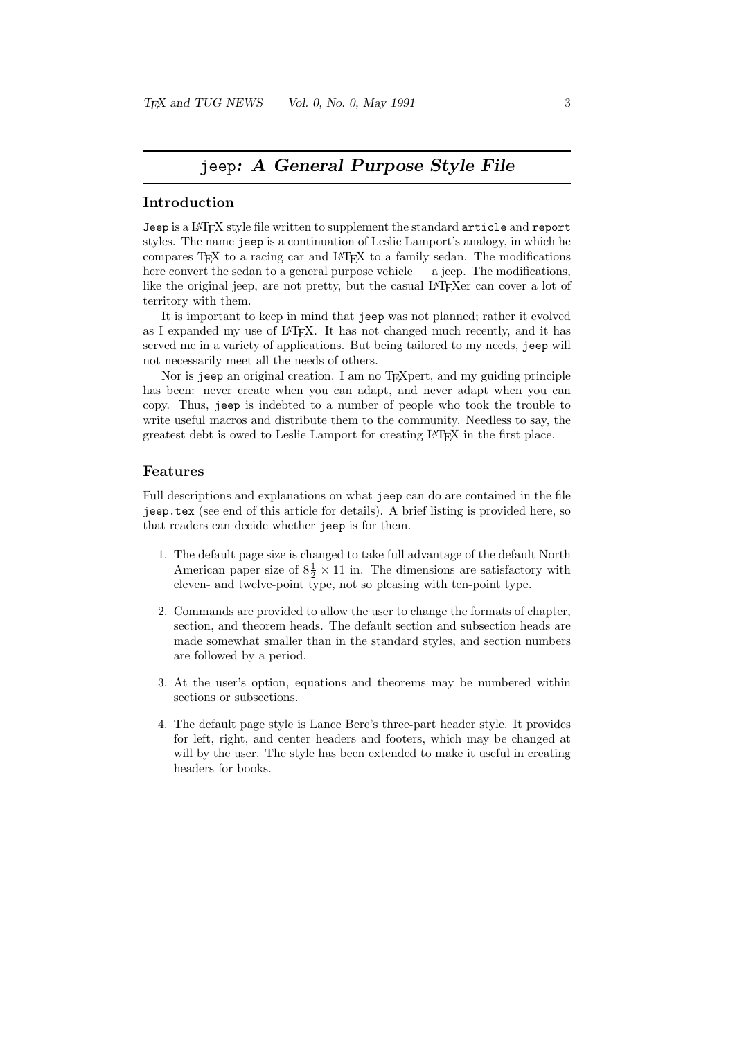## jeep: A General Purpose Style File

### Introduction

Jeep is a LAT<sub>E</sub>X style file written to supplement the standard article and report styles. The name jeep is a continuation of Leslie Lamport's analogy, in which he compares TEX to a racing car and LATEX to a family sedan. The modifications here convert the sedan to a general purpose vehicle — a jeep. The modifications, like the original jeep, are not pretty, but the casual LAT<sub>EX</sub> er can cover a lot of territory with them.

It is important to keep in mind that jeep was not planned; rather it evolved as I expanded my use of IAT<sub>EX</sub>. It has not changed much recently, and it has served me in a variety of applications. But being tailored to my needs, jeep will not necessarily meet all the needs of others.

Nor is jeep an original creation. I am no T<sub>E</sub>Xpert, and my guiding principle has been: never create when you can adapt, and never adapt when you can copy. Thus, jeep is indebted to a number of people who took the trouble to write useful macros and distribute them to the community. Needless to say, the greatest debt is owed to Leslie Lamport for creating LATEX in the first place.

### Features

Full descriptions and explanations on what jeep can do are contained in the file jeep.tex (see end of this article for details). A brief listing is provided here, so that readers can decide whether jeep is for them.

- 1. The default page size is changed to take full advantage of the default North American paper size of  $8\frac{1}{2} \times 11$  in. The dimensions are satisfactory with eleven- and twelve-point type, not so pleasing with ten-point type.
- 2. Commands are provided to allow the user to change the formats of chapter, section, and theorem heads. The default section and subsection heads are made somewhat smaller than in the standard styles, and section numbers are followed by a period.
- 3. At the user's option, equations and theorems may be numbered within sections or subsections.
- 4. The default page style is Lance Berc's three-part header style. It provides for left, right, and center headers and footers, which may be changed at will by the user. The style has been extended to make it useful in creating headers for books.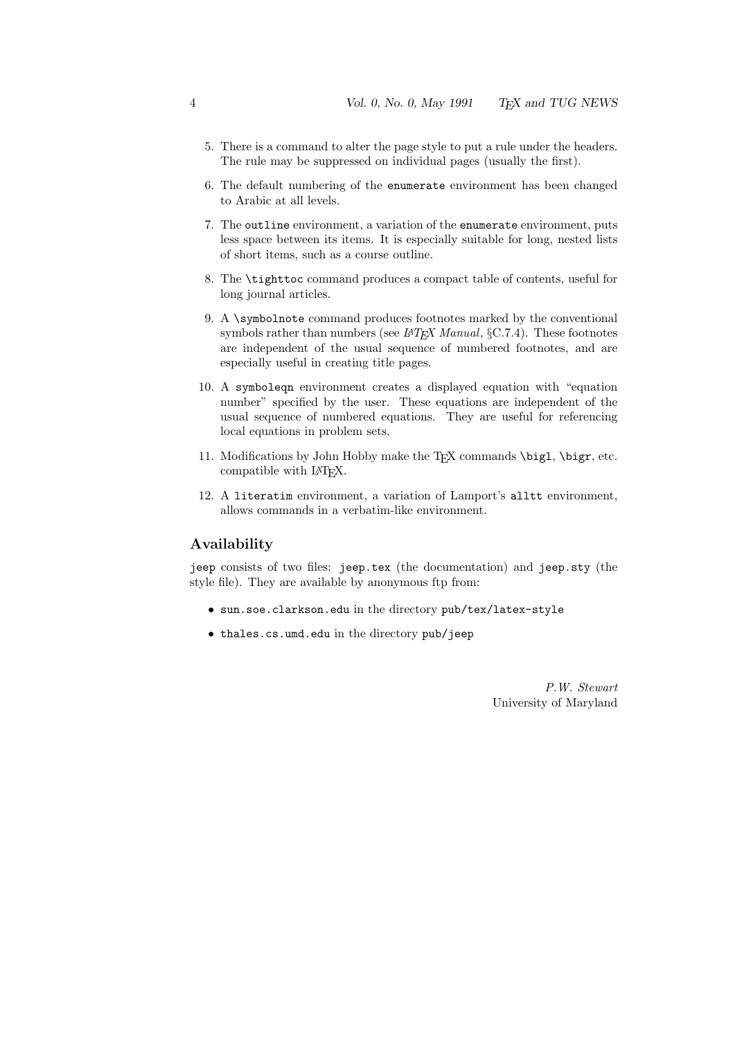- 5. There is a command to alter the page style to put a rule under the headers. The rule may be suppressed on individual pages (usually the first).
- 6. The default numbering of the enumerate environment has been changed to Arabic at all levels.
- 7. The outline environment, a variation of the enumerate environment, puts less space between its items. It is especially suitable for long, nested lists of short items, such as a course outline.
- 8. The \tighttoc command produces a compact table of contents, useful for long journal articles.
- 9. A \symbolnote command produces footnotes marked by the conventional symbols rather than numbers (see  $L^2T_F X$  Manual, §C.7.4). These footnotes are independent of the usual sequence of numbered footnotes, and are especially useful in creating title pages.
- 10. A symboleqn environment creates a displayed equation with "equation number" specified by the user. These equations are independent of the usual sequence of numbered equations. They are useful for referencing local equations in problem sets.
- 11. Modifications by John Hobby make the TFX commands  $\bigcup$ ,  $\bigcup$ , etc. compatible with LATEX.
- 12. A literatim environment, a variation of Lamport's alltt environment, allows commands in a verbatim-like environment.

### Availability

jeep consists of two files: jeep.tex (the documentation) and jeep.sty (the style file). They are available by anonymous ftp from:

- sun.soe.clarkson.edu in the directory pub/tex/latex-style
- thales.cs.umd.edu in the directory pub/jeep

P.W. Stewart University of Maryland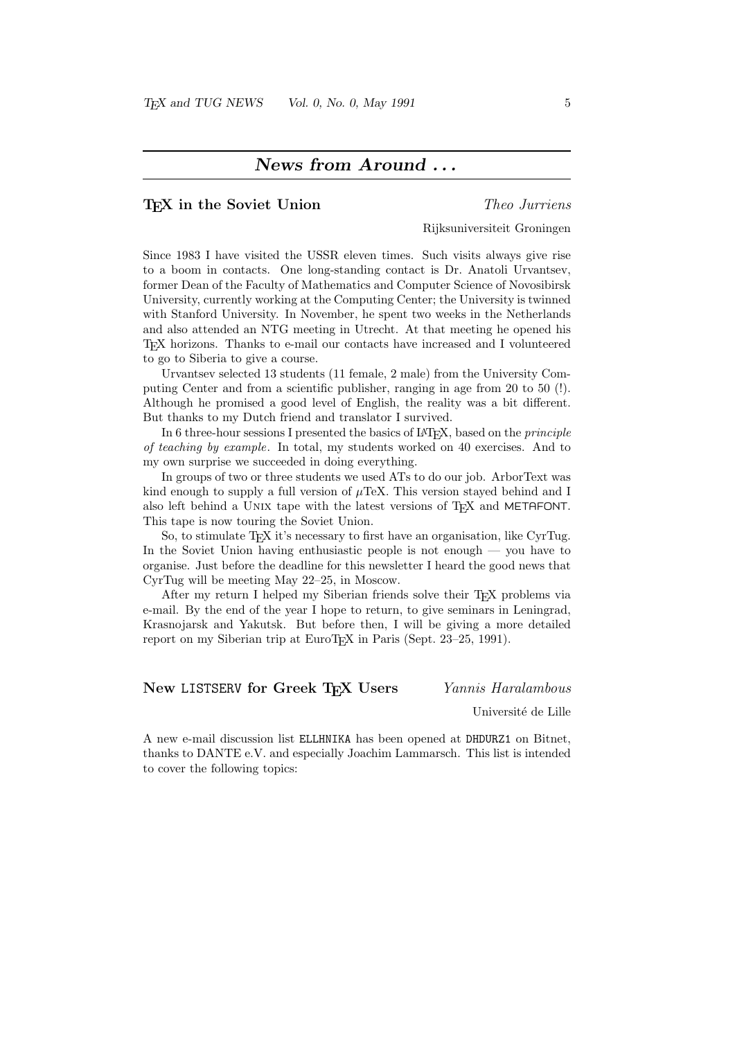### News from Around . . .

### T<sub>E</sub>X in the Soviet Union Theo Jurriens

### Rijksuniversiteit Groningen

Since 1983 I have visited the USSR eleven times. Such visits always give rise to a boom in contacts. One long-standing contact is Dr. Anatoli Urvantsev, former Dean of the Faculty of Mathematics and Computer Science of Novosibirsk University, currently working at the Computing Center; the University is twinned with Stanford University. In November, he spent two weeks in the Netherlands and also attended an NTG meeting in Utrecht. At that meeting he opened his TEX horizons. Thanks to e-mail our contacts have increased and I volunteered to go to Siberia to give a course.

Urvantsev selected 13 students (11 female, 2 male) from the University Computing Center and from a scientific publisher, ranging in age from 20 to 50 (!). Although he promised a good level of English, the reality was a bit different. But thanks to my Dutch friend and translator I survived.

In 6 three-hour sessions I presented the basics of  $\text{LATEX}$ , based on the *principle* of teaching by example. In total, my students worked on 40 exercises. And to my own surprise we succeeded in doing everything.

In groups of two or three students we used ATs to do our job. ArborText was kind enough to supply a full version of  $\mu$ TeX. This version stayed behind and I also left behind a UNIX tape with the latest versions of T<sub>E</sub>X and METAFONT. This tape is now touring the Soviet Union.

So, to stimulate TEX it's necessary to first have an organisation, like CyrTug. In the Soviet Union having enthusiastic people is not enough  $-$  you have to organise. Just before the deadline for this newsletter I heard the good news that CyrTug will be meeting May 22–25, in Moscow.

After my return I helped my Siberian friends solve their T<sub>E</sub>X problems via e-mail. By the end of the year I hope to return, to give seminars in Leningrad, Krasnojarsk and Yakutsk. But before then, I will be giving a more detailed report on my Siberian trip at EuroT<sub>EX</sub> in Paris (Sept. 23–25, 1991).

### New LISTSERV for Greek TFX Users Yannis Haralambous

Université de Lille

A new e-mail discussion list ELLHNIKA has been opened at DHDURZ1 on Bitnet, thanks to DANTE e.V. and especially Joachim Lammarsch. This list is intended to cover the following topics: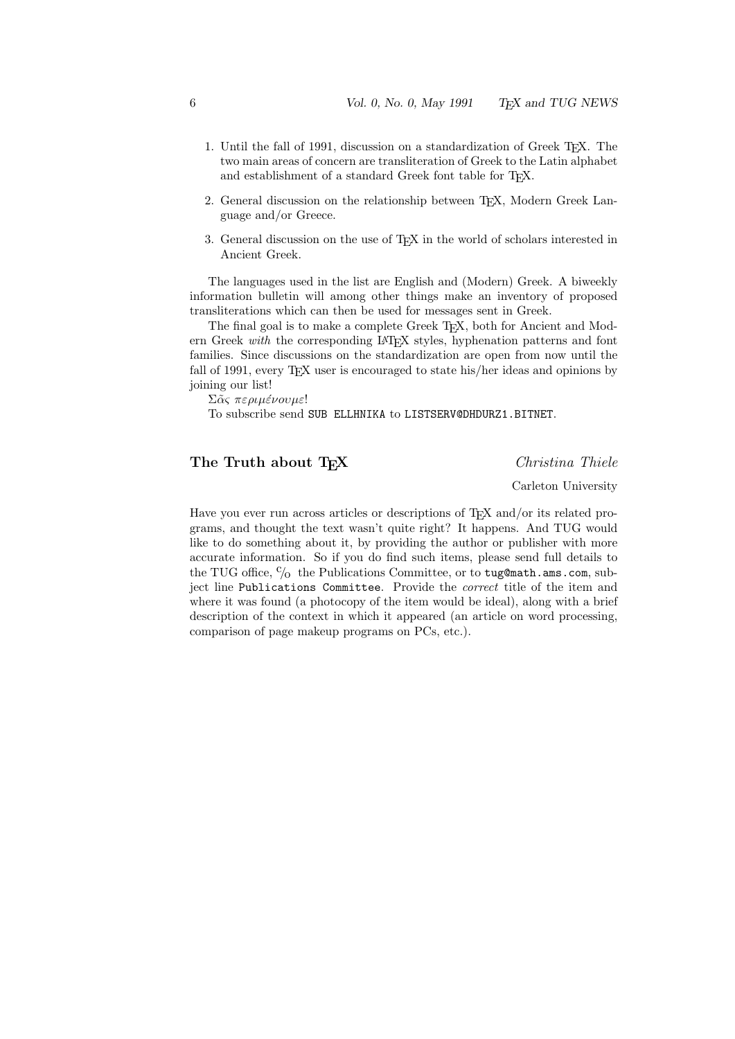- 1. Until the fall of 1991, discussion on a standardization of Greek T<sub>E</sub>X. The two main areas of concern are transliteration of Greek to the Latin alphabet and establishment of a standard Greek font table for TFX.
- 2. General discussion on the relationship between T<sub>E</sub>X, Modern Greek Language and/or Greece.
- 3. General discussion on the use of T<sub>E</sub>X in the world of scholars interested in Ancient Greek.

The languages used in the list are English and (Modern) Greek. A biweekly information bulletin will among other things make an inventory of proposed transliterations which can then be used for messages sent in Greek.

The final goal is to make a complete Greek T<sub>E</sub>X, both for Ancient and Modern Greek with the corresponding LAT<sub>EX</sub> styles, hyphenation patterns and font families. Since discussions on the standardization are open from now until the fall of 1991, every T<sub>EX</sub> user is encouraged to state his/her ideas and opinions by joining our list!

Σᾶς περιμένουμε!

To subscribe send SUB ELLHNIKA to LISTSERV@DHDURZ1.BITNET.

### The Truth about T<sub>E</sub>X Christina Thiele

Carleton University

Have you ever run across articles or descriptions of  $T_F X$  and/or its related programs, and thought the text wasn't quite right? It happens. And TUG would like to do something about it, by providing the author or publisher with more accurate information. So if you do find such items, please send full details to the TUG office,  $\frac{c}{0}$  the Publications Committee, or to tug@math.ams.com, subject line Publications Committee. Provide the correct title of the item and where it was found (a photocopy of the item would be ideal), along with a brief description of the context in which it appeared (an article on word processing, comparison of page makeup programs on PCs, etc.).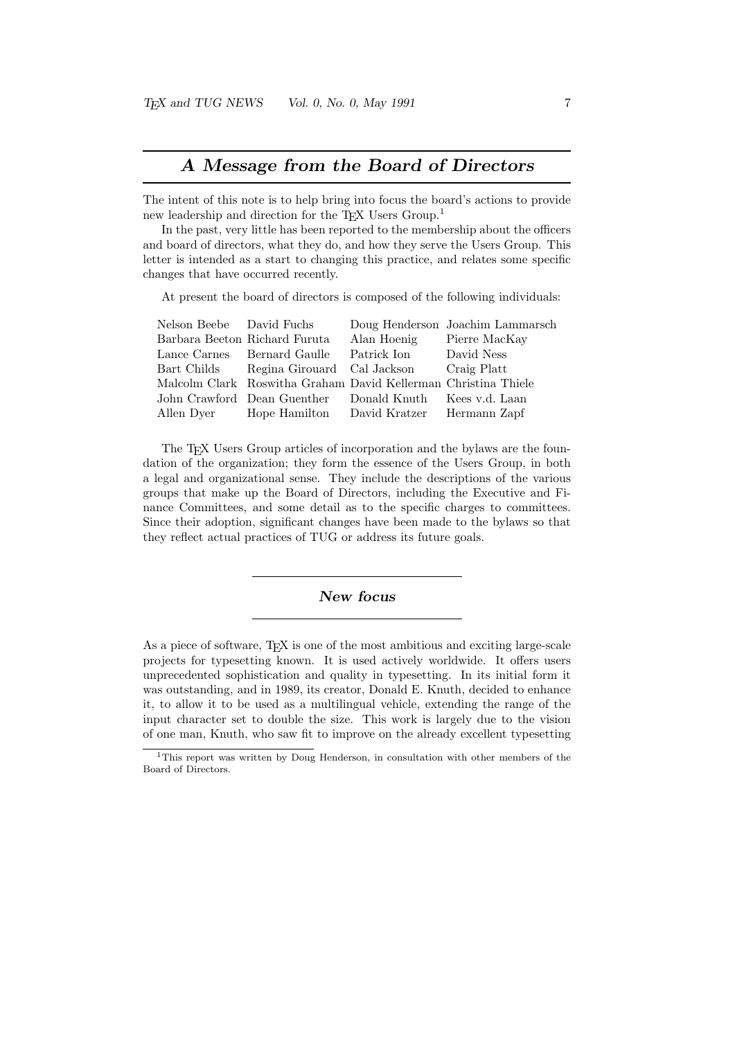### A Message from the Board of Directors

The intent of this note is to help bring into focus the board's actions to provide new leadership and direction for the T<sub>E</sub>X Users Group.<sup>1</sup>

In the past, very little has been reported to the membership about the officers and board of directors, what they do, and how they serve the Users Group. This letter is intended as a start to changing this practice, and relates some specific changes that have occurred recently.

At present the board of directors is composed of the following individuals:

| Nelson Beebe David Fuchs      | Doug Henderson Joachim Lammarsch                                                                                                                                                                                                               |
|-------------------------------|------------------------------------------------------------------------------------------------------------------------------------------------------------------------------------------------------------------------------------------------|
| Barbara Beeton Richard Furuta | Pierre MacKay                                                                                                                                                                                                                                  |
| Lance Carnes Bernard Gaulle   | David Ness                                                                                                                                                                                                                                     |
|                               | Craig Platt                                                                                                                                                                                                                                    |
|                               |                                                                                                                                                                                                                                                |
|                               |                                                                                                                                                                                                                                                |
| Allen Dyer                    |                                                                                                                                                                                                                                                |
|                               | Alan Hoenig<br>Patrick Ion<br>Bart Childs Regina Girouard Cal Jackson<br>Malcolm Clark Roswitha Graham David Kellerman Christina Thiele<br>John Crawford Dean Guenther Donald Knuth Kees v.d. Laan<br>Hope Hamilton David Kratzer Hermann Zapf |

The TEX Users Group articles of incorporation and the bylaws are the foundation of the organization; they form the essence of the Users Group, in both a legal and organizational sense. They include the descriptions of the various groups that make up the Board of Directors, including the Executive and Finance Committees, and some detail as to the specific charges to committees. Since their adoption, significant changes have been made to the bylaws so that they reflect actual practices of TUG or address its future goals.

### New focus

As a piece of software, T<sub>E</sub>X is one of the most ambitious and exciting large-scale projects for typesetting known. It is used actively worldwide. It offers users unprecedented sophistication and quality in typesetting. In its initial form it was outstanding, and in 1989, its creator, Donald E. Knuth, decided to enhance it, to allow it to be used as a multilingual vehicle, extending the range of the input character set to double the size. This work is largely due to the vision of one man, Knuth, who saw fit to improve on the already excellent typesetting

<sup>1</sup>This report was written by Doug Henderson, in consultation with other members of the Board of Directors.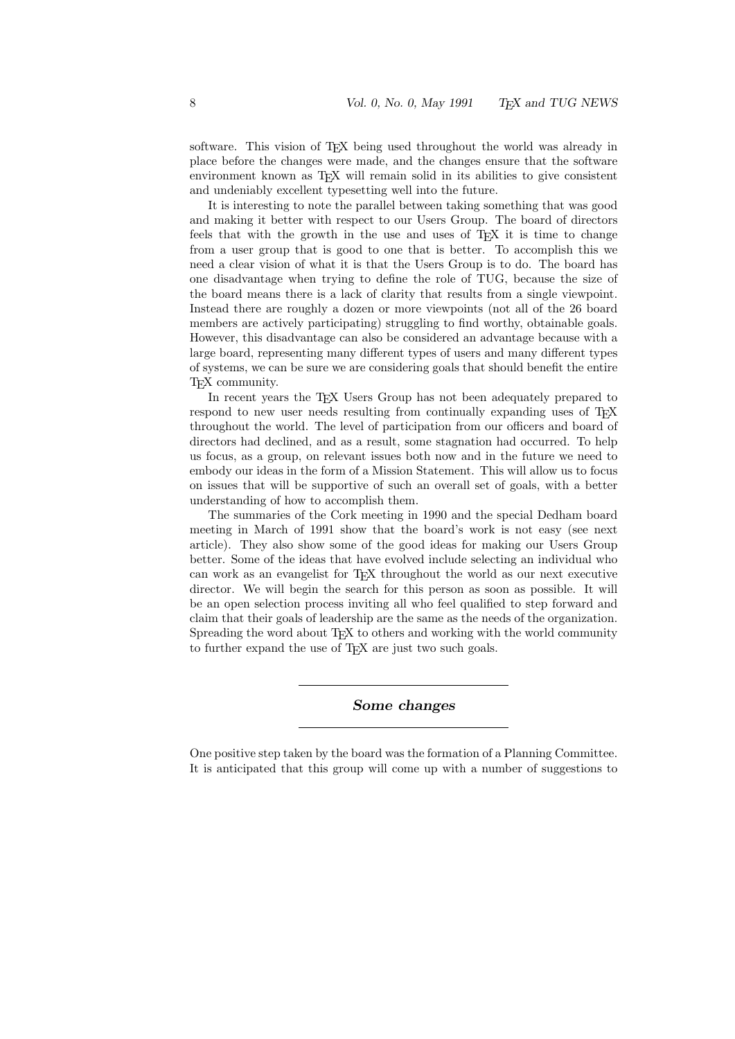software. This vision of T<sub>EX</sub> being used throughout the world was already in place before the changes were made, and the changes ensure that the software environment known as TEX will remain solid in its abilities to give consistent and undeniably excellent typesetting well into the future.

It is interesting to note the parallel between taking something that was good and making it better with respect to our Users Group. The board of directors feels that with the growth in the use and uses of T<sub>E</sub>X it is time to change from a user group that is good to one that is better. To accomplish this we need a clear vision of what it is that the Users Group is to do. The board has one disadvantage when trying to define the role of TUG, because the size of the board means there is a lack of clarity that results from a single viewpoint. Instead there are roughly a dozen or more viewpoints (not all of the 26 board members are actively participating) struggling to find worthy, obtainable goals. However, this disadvantage can also be considered an advantage because with a large board, representing many different types of users and many different types of systems, we can be sure we are considering goals that should benefit the entire T<sub>F</sub>X community.

In recent years the TEX Users Group has not been adequately prepared to respond to new user needs resulting from continually expanding uses of T<sub>E</sub>X throughout the world. The level of participation from our officers and board of directors had declined, and as a result, some stagnation had occurred. To help us focus, as a group, on relevant issues both now and in the future we need to embody our ideas in the form of a Mission Statement. This will allow us to focus on issues that will be supportive of such an overall set of goals, with a better understanding of how to accomplish them.

The summaries of the Cork meeting in 1990 and the special Dedham board meeting in March of 1991 show that the board's work is not easy (see next article). They also show some of the good ideas for making our Users Group better. Some of the ideas that have evolved include selecting an individual who can work as an evangelist for T<sub>EX</sub> throughout the world as our next executive director. We will begin the search for this person as soon as possible. It will be an open selection process inviting all who feel qualified to step forward and claim that their goals of leadership are the same as the needs of the organization. Spreading the word about T<sub>EX</sub> to others and working with the world community to further expand the use of T<sub>E</sub>X are just two such goals.

Some changes

One positive step taken by the board was the formation of a Planning Committee. It is anticipated that this group will come up with a number of suggestions to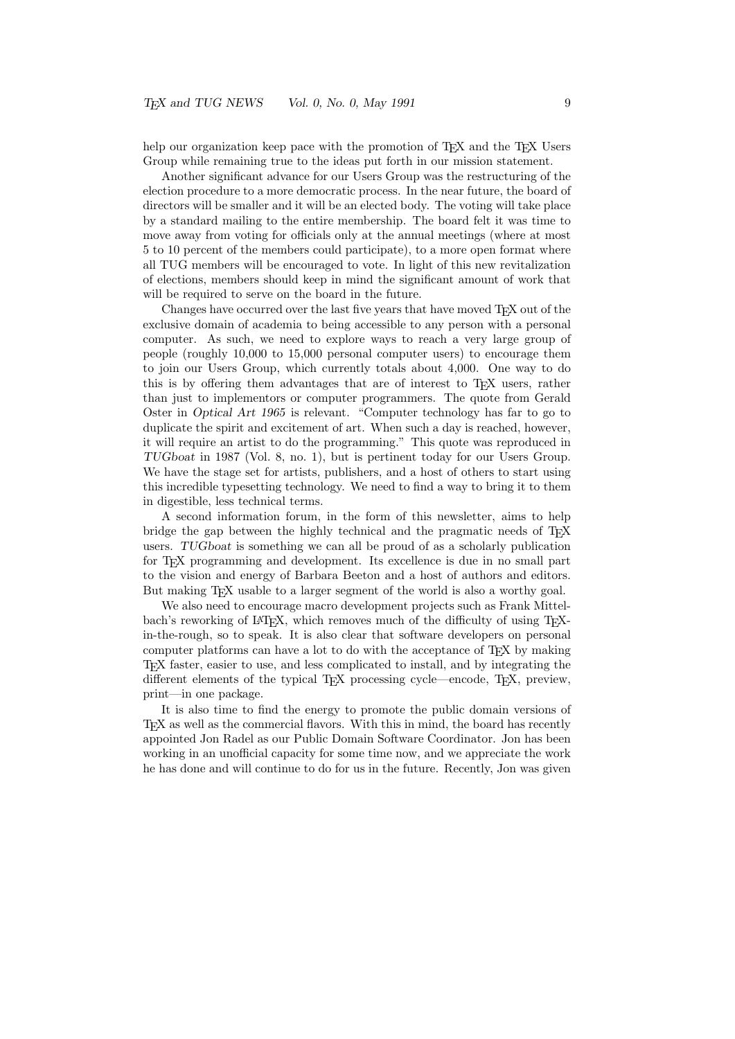help our organization keep pace with the promotion of T<sub>E</sub>X and the T<sub>E</sub>X Users Group while remaining true to the ideas put forth in our mission statement.

Another significant advance for our Users Group was the restructuring of the election procedure to a more democratic process. In the near future, the board of directors will be smaller and it will be an elected body. The voting will take place by a standard mailing to the entire membership. The board felt it was time to move away from voting for officials only at the annual meetings (where at most 5 to 10 percent of the members could participate), to a more open format where all TUG members will be encouraged to vote. In light of this new revitalization of elections, members should keep in mind the significant amount of work that will be required to serve on the board in the future.

Changes have occurred over the last five years that have moved TEX out of the exclusive domain of academia to being accessible to any person with a personal computer. As such, we need to explore ways to reach a very large group of people (roughly 10,000 to 15,000 personal computer users) to encourage them to join our Users Group, which currently totals about 4,000. One way to do this is by offering them advantages that are of interest to T<sub>E</sub>X users, rather than just to implementors or computer programmers. The quote from Gerald Oster in Optical Art 1965 is relevant. "Computer technology has far to go to duplicate the spirit and excitement of art. When such a day is reached, however, it will require an artist to do the programming." This quote was reproduced in TUGboat in 1987 (Vol. 8, no. 1), but is pertinent today for our Users Group. We have the stage set for artists, publishers, and a host of others to start using this incredible typesetting technology. We need to find a way to bring it to them in digestible, less technical terms.

A second information forum, in the form of this newsletter, aims to help bridge the gap between the highly technical and the pragmatic needs of T<sub>E</sub>X users. TUGboat is something we can all be proud of as a scholarly publication for TEX programming and development. Its excellence is due in no small part to the vision and energy of Barbara Beeton and a host of authors and editors. But making TEX usable to a larger segment of the world is also a worthy goal.

We also need to encourage macro development projects such as Frank Mittelbach's reworking of LAT<sub>EX</sub>, which removes much of the difficulty of using T<sub>EX</sub>in-the-rough, so to speak. It is also clear that software developers on personal computer platforms can have a lot to do with the acceptance of TEX by making TEX faster, easier to use, and less complicated to install, and by integrating the different elements of the typical TEX processing cycle—encode, TEX, preview, print—in one package.

It is also time to find the energy to promote the public domain versions of TEX as well as the commercial flavors. With this in mind, the board has recently appointed Jon Radel as our Public Domain Software Coordinator. Jon has been working in an unofficial capacity for some time now, and we appreciate the work he has done and will continue to do for us in the future. Recently, Jon was given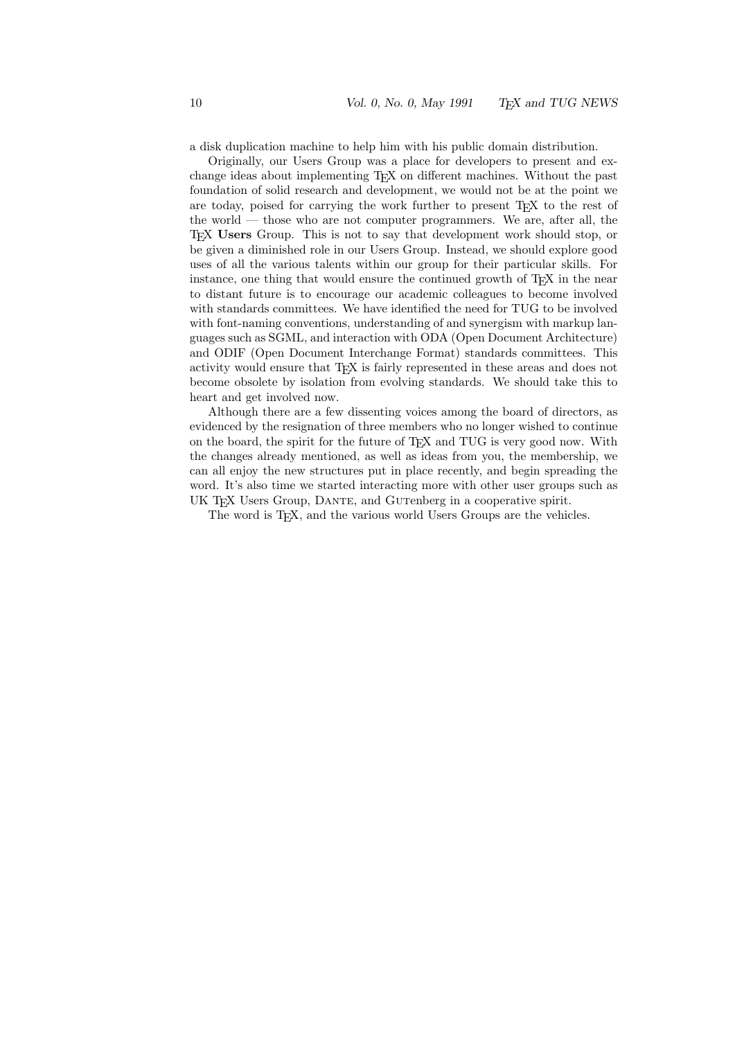a disk duplication machine to help him with his public domain distribution.

Originally, our Users Group was a place for developers to present and exchange ideas about implementing TEX on different machines. Without the past foundation of solid research and development, we would not be at the point we are today, poised for carrying the work further to present T<sub>E</sub>X to the rest of the world — those who are not computer programmers. We are, after all, the TEX Users Group. This is not to say that development work should stop, or be given a diminished role in our Users Group. Instead, we should explore good uses of all the various talents within our group for their particular skills. For instance, one thing that would ensure the continued growth of T<sub>E</sub>X in the near to distant future is to encourage our academic colleagues to become involved with standards committees. We have identified the need for TUG to be involved with font-naming conventions, understanding of and synergism with markup languages such as SGML, and interaction with ODA (Open Document Architecture) and ODIF (Open Document Interchange Format) standards committees. This activity would ensure that TEX is fairly represented in these areas and does not become obsolete by isolation from evolving standards. We should take this to heart and get involved now.

Although there are a few dissenting voices among the board of directors, as evidenced by the resignation of three members who no longer wished to continue on the board, the spirit for the future of TEX and TUG is very good now. With the changes already mentioned, as well as ideas from you, the membership, we can all enjoy the new structures put in place recently, and begin spreading the word. It's also time we started interacting more with other user groups such as UK T<sub>E</sub>X Users Group, DANTE, and GUTenberg in a cooperative spirit.

The word is T<sub>E</sub>X, and the various world Users Groups are the vehicles.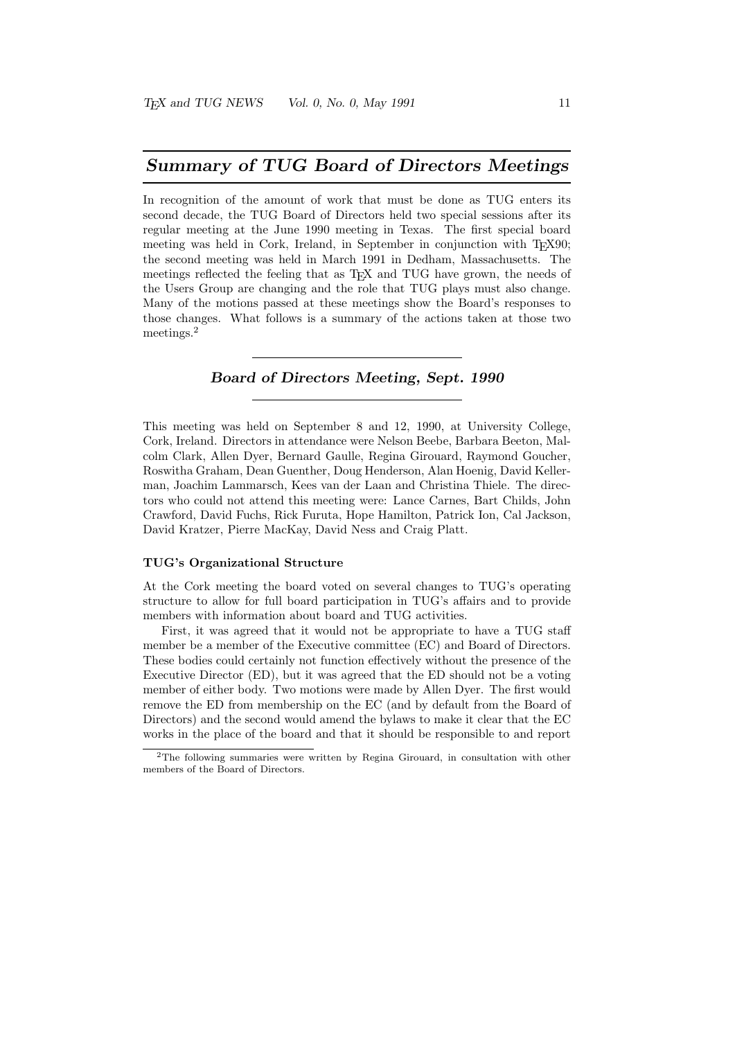### Summary of TUG Board of Directors Meetings

In recognition of the amount of work that must be done as TUG enters its second decade, the TUG Board of Directors held two special sessions after its regular meeting at the June 1990 meeting in Texas. The first special board meeting was held in Cork, Ireland, in September in conjunction with T<sub>E</sub>X90; the second meeting was held in March 1991 in Dedham, Massachusetts. The meetings reflected the feeling that as T<sub>E</sub>X and TUG have grown, the needs of the Users Group are changing and the role that TUG plays must also change. Many of the motions passed at these meetings show the Board's responses to those changes. What follows is a summary of the actions taken at those two meetings.<sup>2</sup>

### Board of Directors Meeting, Sept. 1990

This meeting was held on September 8 and 12, 1990, at University College, Cork, Ireland. Directors in attendance were Nelson Beebe, Barbara Beeton, Malcolm Clark, Allen Dyer, Bernard Gaulle, Regina Girouard, Raymond Goucher, Roswitha Graham, Dean Guenther, Doug Henderson, Alan Hoenig, David Kellerman, Joachim Lammarsch, Kees van der Laan and Christina Thiele. The directors who could not attend this meeting were: Lance Carnes, Bart Childs, John Crawford, David Fuchs, Rick Furuta, Hope Hamilton, Patrick Ion, Cal Jackson, David Kratzer, Pierre MacKay, David Ness and Craig Platt.

#### TUG's Organizational Structure

At the Cork meeting the board voted on several changes to TUG's operating structure to allow for full board participation in TUG's affairs and to provide members with information about board and TUG activities.

First, it was agreed that it would not be appropriate to have a TUG staff member be a member of the Executive committee (EC) and Board of Directors. These bodies could certainly not function effectively without the presence of the Executive Director (ED), but it was agreed that the ED should not be a voting member of either body. Two motions were made by Allen Dyer. The first would remove the ED from membership on the EC (and by default from the Board of Directors) and the second would amend the bylaws to make it clear that the EC works in the place of the board and that it should be responsible to and report

<sup>2</sup>The following summaries were written by Regina Girouard, in consultation with other members of the Board of Directors.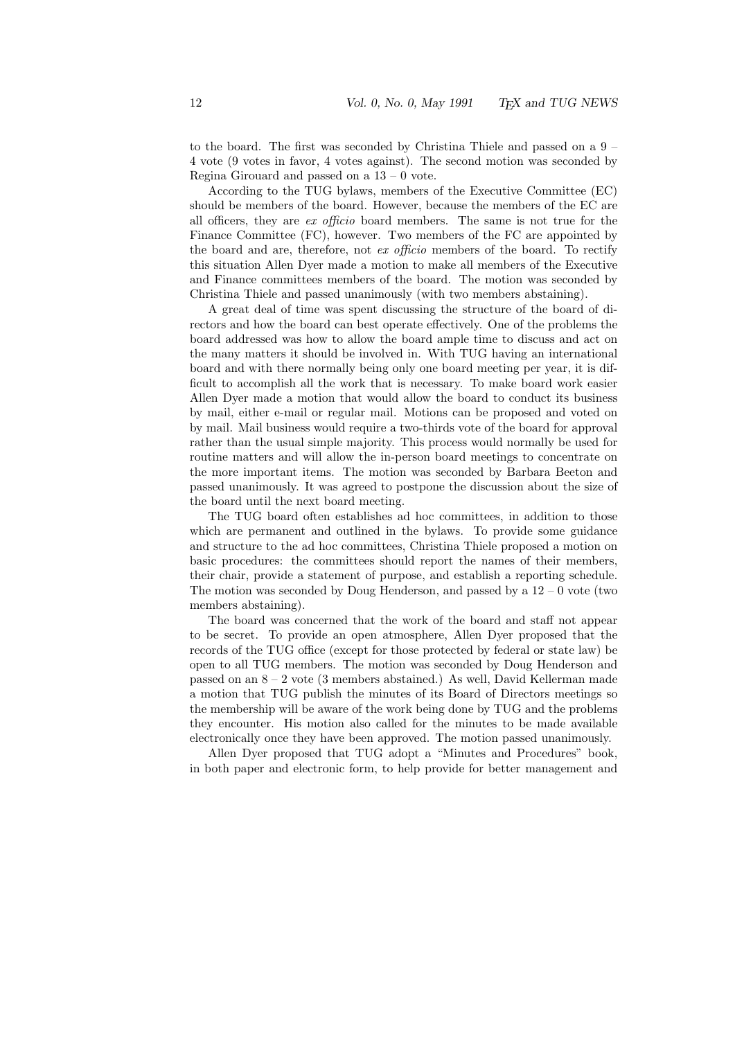to the board. The first was seconded by Christina Thiele and passed on a 9 – 4 vote (9 votes in favor, 4 votes against). The second motion was seconded by Regina Girouard and passed on a  $13 - 0$  vote.

According to the TUG bylaws, members of the Executive Committee (EC) should be members of the board. However, because the members of the EC are all officers, they are ex officio board members. The same is not true for the Finance Committee (FC), however. Two members of the FC are appointed by the board and are, therefore, not ex officio members of the board. To rectify this situation Allen Dyer made a motion to make all members of the Executive and Finance committees members of the board. The motion was seconded by Christina Thiele and passed unanimously (with two members abstaining).

A great deal of time was spent discussing the structure of the board of directors and how the board can best operate effectively. One of the problems the board addressed was how to allow the board ample time to discuss and act on the many matters it should be involved in. With TUG having an international board and with there normally being only one board meeting per year, it is difficult to accomplish all the work that is necessary. To make board work easier Allen Dyer made a motion that would allow the board to conduct its business by mail, either e-mail or regular mail. Motions can be proposed and voted on by mail. Mail business would require a two-thirds vote of the board for approval rather than the usual simple majority. This process would normally be used for routine matters and will allow the in-person board meetings to concentrate on the more important items. The motion was seconded by Barbara Beeton and passed unanimously. It was agreed to postpone the discussion about the size of the board until the next board meeting.

The TUG board often establishes ad hoc committees, in addition to those which are permanent and outlined in the bylaws. To provide some guidance and structure to the ad hoc committees, Christina Thiele proposed a motion on basic procedures: the committees should report the names of their members, their chair, provide a statement of purpose, and establish a reporting schedule. The motion was seconded by Doug Henderson, and passed by a  $12 - 0$  vote (two members abstaining).

The board was concerned that the work of the board and staff not appear to be secret. To provide an open atmosphere, Allen Dyer proposed that the records of the TUG office (except for those protected by federal or state law) be open to all TUG members. The motion was seconded by Doug Henderson and passed on an 8 – 2 vote (3 members abstained.) As well, David Kellerman made a motion that TUG publish the minutes of its Board of Directors meetings so the membership will be aware of the work being done by TUG and the problems they encounter. His motion also called for the minutes to be made available electronically once they have been approved. The motion passed unanimously.

Allen Dyer proposed that TUG adopt a "Minutes and Procedures" book, in both paper and electronic form, to help provide for better management and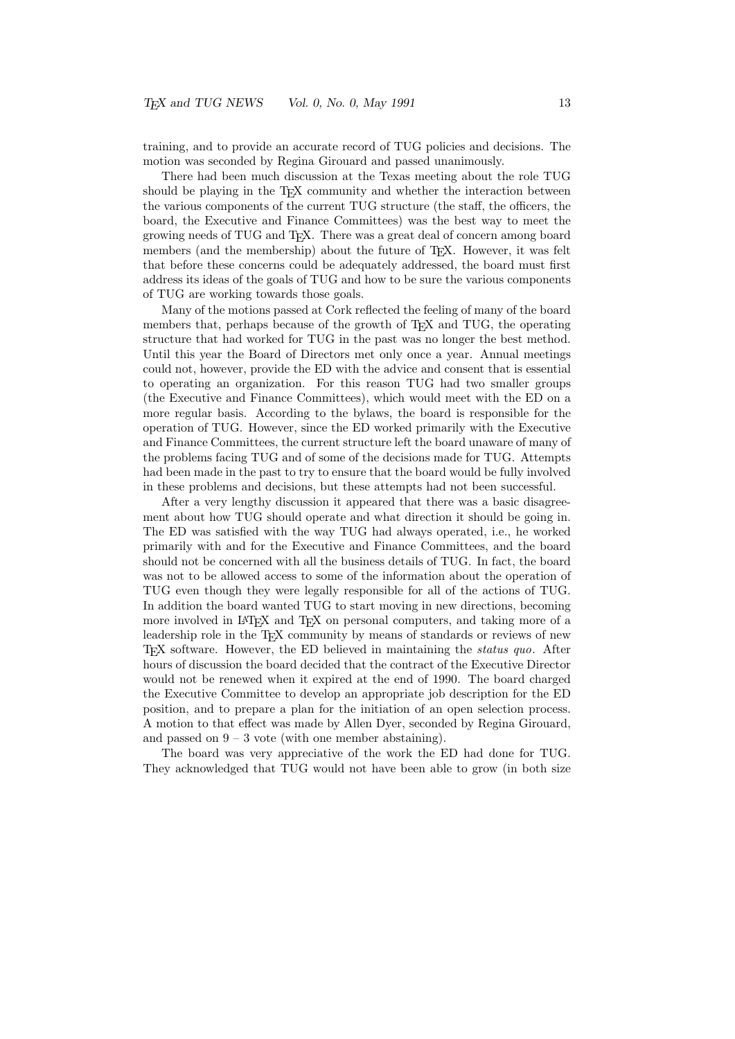training, and to provide an accurate record of TUG policies and decisions. The motion was seconded by Regina Girouard and passed unanimously.

There had been much discussion at the Texas meeting about the role TUG should be playing in the T<sub>E</sub>X community and whether the interaction between the various components of the current TUG structure (the staff, the officers, the board, the Executive and Finance Committees) was the best way to meet the growing needs of TUG and TEX. There was a great deal of concern among board members (and the membership) about the future of T<sub>E</sub>X. However, it was felt that before these concerns could be adequately addressed, the board must first address its ideas of the goals of TUG and how to be sure the various components of TUG are working towards those goals.

Many of the motions passed at Cork reflected the feeling of many of the board members that, perhaps because of the growth of T<sub>E</sub>X and TUG, the operating structure that had worked for TUG in the past was no longer the best method. Until this year the Board of Directors met only once a year. Annual meetings could not, however, provide the ED with the advice and consent that is essential to operating an organization. For this reason TUG had two smaller groups (the Executive and Finance Committees), which would meet with the ED on a more regular basis. According to the bylaws, the board is responsible for the operation of TUG. However, since the ED worked primarily with the Executive and Finance Committees, the current structure left the board unaware of many of the problems facing TUG and of some of the decisions made for TUG. Attempts had been made in the past to try to ensure that the board would be fully involved in these problems and decisions, but these attempts had not been successful.

After a very lengthy discussion it appeared that there was a basic disagreement about how TUG should operate and what direction it should be going in. The ED was satisfied with the way TUG had always operated, i.e., he worked primarily with and for the Executive and Finance Committees, and the board should not be concerned with all the business details of TUG. In fact, the board was not to be allowed access to some of the information about the operation of TUG even though they were legally responsible for all of the actions of TUG. In addition the board wanted TUG to start moving in new directions, becoming more involved in LAT<sub>EX</sub> and T<sub>EX</sub> on personal computers, and taking more of a leadership role in the T<sub>E</sub>X community by means of standards or reviews of new TEX software. However, the ED believed in maintaining the status quo. After hours of discussion the board decided that the contract of the Executive Director would not be renewed when it expired at the end of 1990. The board charged the Executive Committee to develop an appropriate job description for the ED position, and to prepare a plan for the initiation of an open selection process. A motion to that effect was made by Allen Dyer, seconded by Regina Girouard, and passed on  $9 - 3$  vote (with one member abstaining).

The board was very appreciative of the work the ED had done for TUG. They acknowledged that TUG would not have been able to grow (in both size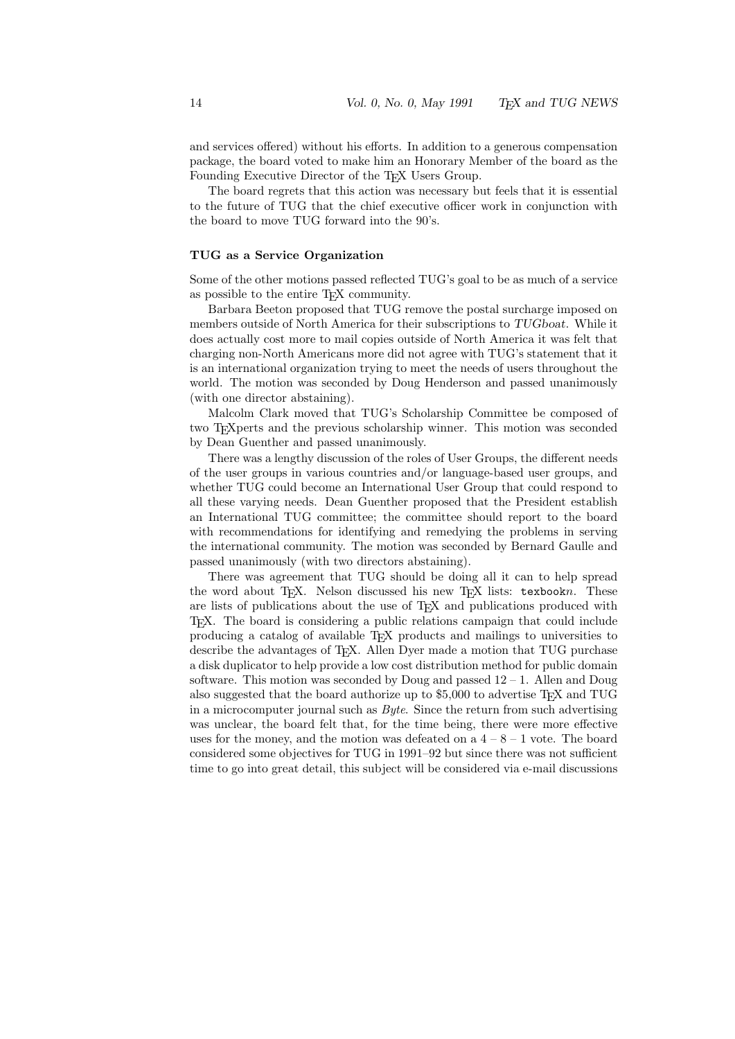and services offered) without his efforts. In addition to a generous compensation package, the board voted to make him an Honorary Member of the board as the Founding Executive Director of the TEX Users Group.

The board regrets that this action was necessary but feels that it is essential to the future of TUG that the chief executive officer work in conjunction with the board to move TUG forward into the 90's.

#### TUG as a Service Organization

Some of the other motions passed reflected TUG's goal to be as much of a service as possible to the entire TEX community.

Barbara Beeton proposed that TUG remove the postal surcharge imposed on members outside of North America for their subscriptions to TUGboat. While it does actually cost more to mail copies outside of North America it was felt that charging non-North Americans more did not agree with TUG's statement that it is an international organization trying to meet the needs of users throughout the world. The motion was seconded by Doug Henderson and passed unanimously (with one director abstaining).

Malcolm Clark moved that TUG's Scholarship Committee be composed of two TEXperts and the previous scholarship winner. This motion was seconded by Dean Guenther and passed unanimously.

There was a lengthy discussion of the roles of User Groups, the different needs of the user groups in various countries and/or language-based user groups, and whether TUG could become an International User Group that could respond to all these varying needs. Dean Guenther proposed that the President establish an International TUG committee; the committee should report to the board with recommendations for identifying and remedying the problems in serving the international community. The motion was seconded by Bernard Gaulle and passed unanimously (with two directors abstaining).

There was agreement that TUG should be doing all it can to help spread the word about T<sub>E</sub>X. Nelson discussed his new T<sub>E</sub>X lists: texbookn. These are lists of publications about the use of TEX and publications produced with TEX. The board is considering a public relations campaign that could include producing a catalog of available TEX products and mailings to universities to describe the advantages of TEX. Allen Dyer made a motion that TUG purchase a disk duplicator to help provide a low cost distribution method for public domain software. This motion was seconded by Doug and passed  $12 - 1$ . Allen and Doug also suggested that the board authorize up to \$5,000 to advertise T<sub>E</sub>X and TUG in a microcomputer journal such as  $Byte$ . Since the return from such advertising was unclear, the board felt that, for the time being, there were more effective uses for the money, and the motion was defeated on a  $4 - 8 - 1$  vote. The board considered some objectives for TUG in 1991–92 but since there was not sufficient time to go into great detail, this subject will be considered via e-mail discussions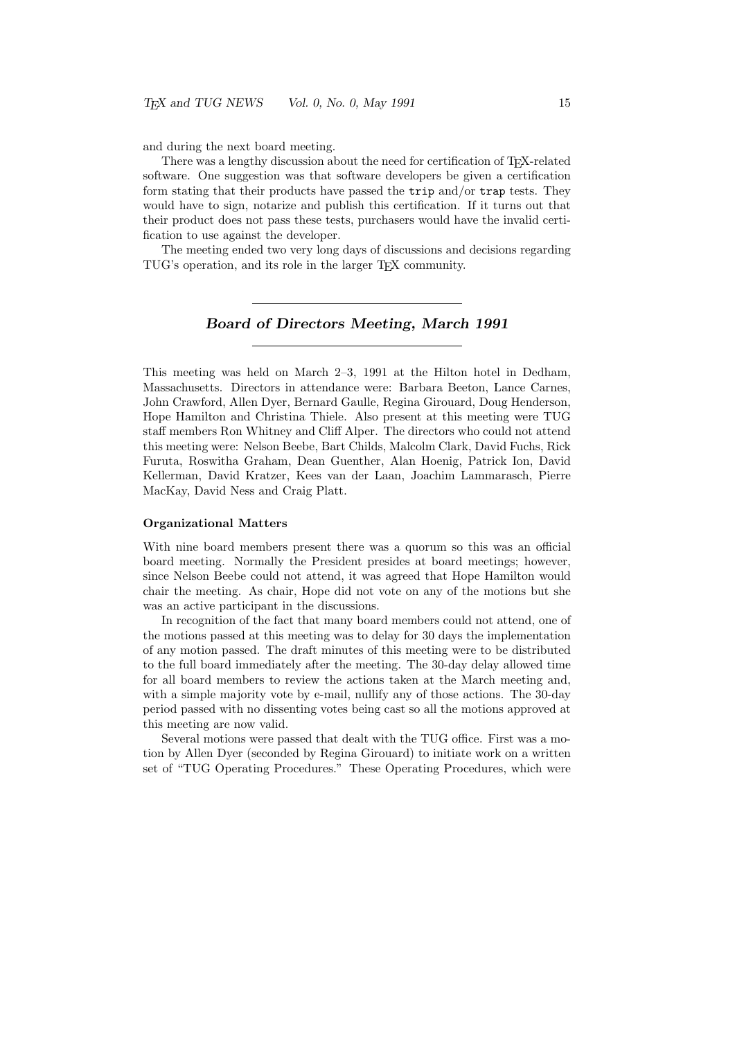and during the next board meeting.

There was a lengthy discussion about the need for certification of T<sub>E</sub>X-related software. One suggestion was that software developers be given a certification form stating that their products have passed the trip and/or trap tests. They would have to sign, notarize and publish this certification. If it turns out that their product does not pass these tests, purchasers would have the invalid certification to use against the developer.

The meeting ended two very long days of discussions and decisions regarding TUG's operation, and its role in the larger TEX community.

### Board of Directors Meeting, March 1991

This meeting was held on March 2–3, 1991 at the Hilton hotel in Dedham, Massachusetts. Directors in attendance were: Barbara Beeton, Lance Carnes, John Crawford, Allen Dyer, Bernard Gaulle, Regina Girouard, Doug Henderson, Hope Hamilton and Christina Thiele. Also present at this meeting were TUG staff members Ron Whitney and Cliff Alper. The directors who could not attend this meeting were: Nelson Beebe, Bart Childs, Malcolm Clark, David Fuchs, Rick Furuta, Roswitha Graham, Dean Guenther, Alan Hoenig, Patrick Ion, David Kellerman, David Kratzer, Kees van der Laan, Joachim Lammarasch, Pierre MacKay, David Ness and Craig Platt.

#### Organizational Matters

With nine board members present there was a quorum so this was an official board meeting. Normally the President presides at board meetings; however, since Nelson Beebe could not attend, it was agreed that Hope Hamilton would chair the meeting. As chair, Hope did not vote on any of the motions but she was an active participant in the discussions.

In recognition of the fact that many board members could not attend, one of the motions passed at this meeting was to delay for 30 days the implementation of any motion passed. The draft minutes of this meeting were to be distributed to the full board immediately after the meeting. The 30-day delay allowed time for all board members to review the actions taken at the March meeting and, with a simple majority vote by e-mail, nullify any of those actions. The 30-day period passed with no dissenting votes being cast so all the motions approved at this meeting are now valid.

Several motions were passed that dealt with the TUG office. First was a motion by Allen Dyer (seconded by Regina Girouard) to initiate work on a written set of "TUG Operating Procedures." These Operating Procedures, which were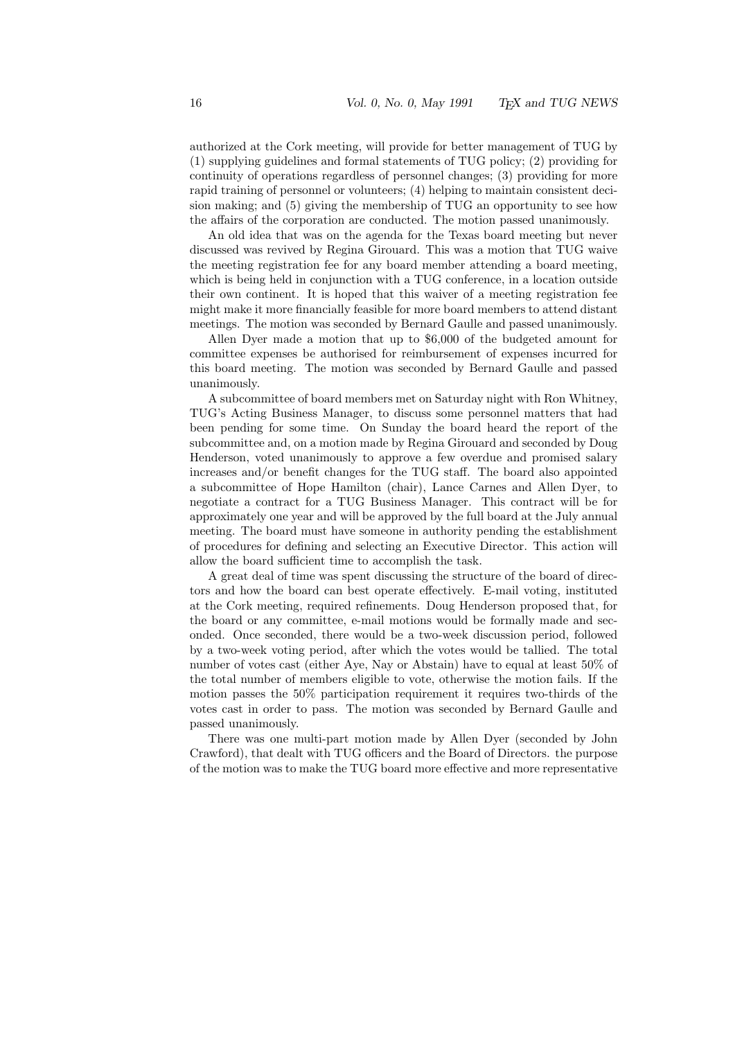authorized at the Cork meeting, will provide for better management of TUG by (1) supplying guidelines and formal statements of TUG policy; (2) providing for continuity of operations regardless of personnel changes; (3) providing for more rapid training of personnel or volunteers; (4) helping to maintain consistent decision making; and (5) giving the membership of TUG an opportunity to see how the affairs of the corporation are conducted. The motion passed unanimously.

An old idea that was on the agenda for the Texas board meeting but never discussed was revived by Regina Girouard. This was a motion that TUG waive the meeting registration fee for any board member attending a board meeting, which is being held in conjunction with a TUG conference, in a location outside their own continent. It is hoped that this waiver of a meeting registration fee might make it more financially feasible for more board members to attend distant meetings. The motion was seconded by Bernard Gaulle and passed unanimously.

Allen Dyer made a motion that up to \$6,000 of the budgeted amount for committee expenses be authorised for reimbursement of expenses incurred for this board meeting. The motion was seconded by Bernard Gaulle and passed unanimously.

A subcommittee of board members met on Saturday night with Ron Whitney, TUG's Acting Business Manager, to discuss some personnel matters that had been pending for some time. On Sunday the board heard the report of the subcommittee and, on a motion made by Regina Girouard and seconded by Doug Henderson, voted unanimously to approve a few overdue and promised salary increases and/or benefit changes for the TUG staff. The board also appointed a subcommittee of Hope Hamilton (chair), Lance Carnes and Allen Dyer, to negotiate a contract for a TUG Business Manager. This contract will be for approximately one year and will be approved by the full board at the July annual meeting. The board must have someone in authority pending the establishment of procedures for defining and selecting an Executive Director. This action will allow the board sufficient time to accomplish the task.

A great deal of time was spent discussing the structure of the board of directors and how the board can best operate effectively. E-mail voting, instituted at the Cork meeting, required refinements. Doug Henderson proposed that, for the board or any committee, e-mail motions would be formally made and seconded. Once seconded, there would be a two-week discussion period, followed by a two-week voting period, after which the votes would be tallied. The total number of votes cast (either Aye, Nay or Abstain) have to equal at least 50% of the total number of members eligible to vote, otherwise the motion fails. If the motion passes the 50% participation requirement it requires two-thirds of the votes cast in order to pass. The motion was seconded by Bernard Gaulle and passed unanimously.

There was one multi-part motion made by Allen Dyer (seconded by John Crawford), that dealt with TUG officers and the Board of Directors. the purpose of the motion was to make the TUG board more effective and more representative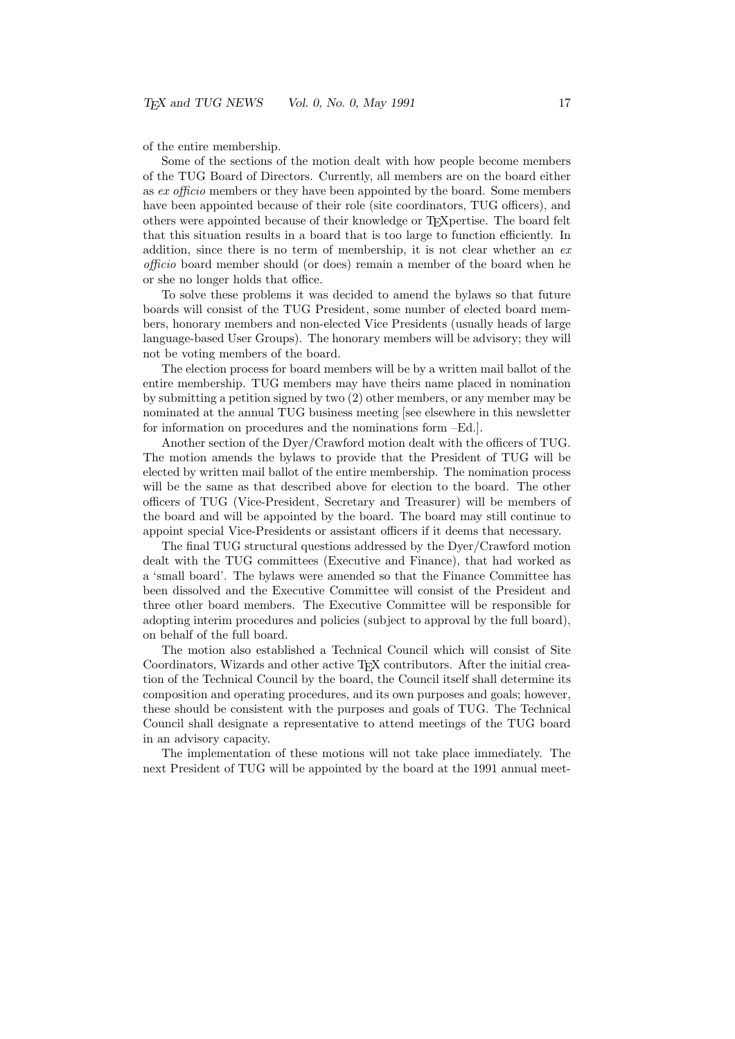of the entire membership.

Some of the sections of the motion dealt with how people become members of the TUG Board of Directors. Currently, all members are on the board either as ex officio members or they have been appointed by the board. Some members have been appointed because of their role (site coordinators, TUG officers), and others were appointed because of their knowledge or TEXpertise. The board felt that this situation results in a board that is too large to function efficiently. In addition, since there is no term of membership, it is not clear whether an  $ex$ officio board member should (or does) remain a member of the board when he or she no longer holds that office.

To solve these problems it was decided to amend the bylaws so that future boards will consist of the TUG President, some number of elected board members, honorary members and non-elected Vice Presidents (usually heads of large language-based User Groups). The honorary members will be advisory; they will not be voting members of the board.

The election process for board members will be by a written mail ballot of the entire membership. TUG members may have theirs name placed in nomination by submitting a petition signed by two (2) other members, or any member may be nominated at the annual TUG business meeting [see elsewhere in this newsletter for information on procedures and the nominations form –Ed.].

Another section of the Dyer/Crawford motion dealt with the officers of TUG. The motion amends the bylaws to provide that the President of TUG will be elected by written mail ballot of the entire membership. The nomination process will be the same as that described above for election to the board. The other officers of TUG (Vice-President, Secretary and Treasurer) will be members of the board and will be appointed by the board. The board may still continue to appoint special Vice-Presidents or assistant officers if it deems that necessary.

The final TUG structural questions addressed by the Dyer/Crawford motion dealt with the TUG committees (Executive and Finance), that had worked as a 'small board'. The bylaws were amended so that the Finance Committee has been dissolved and the Executive Committee will consist of the President and three other board members. The Executive Committee will be responsible for adopting interim procedures and policies (subject to approval by the full board), on behalf of the full board.

The motion also established a Technical Council which will consist of Site Coordinators, Wizards and other active T<sub>EX</sub> contributors. After the initial creation of the Technical Council by the board, the Council itself shall determine its composition and operating procedures, and its own purposes and goals; however, these should be consistent with the purposes and goals of TUG. The Technical Council shall designate a representative to attend meetings of the TUG board in an advisory capacity.

The implementation of these motions will not take place immediately. The next President of TUG will be appointed by the board at the 1991 annual meet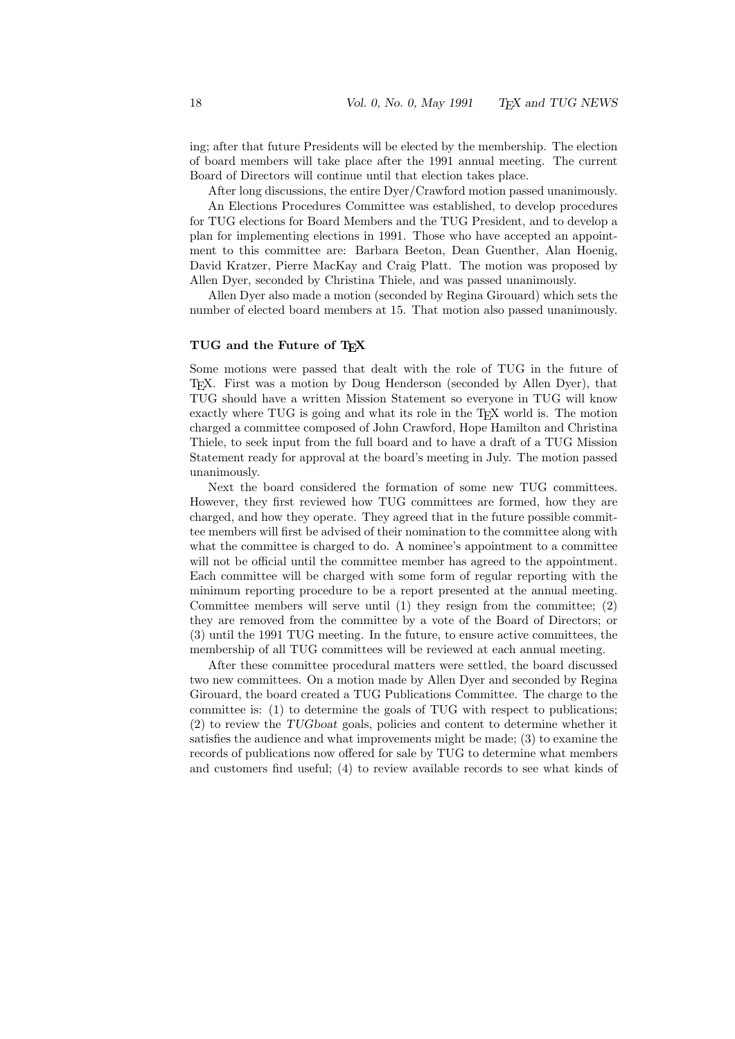ing; after that future Presidents will be elected by the membership. The election of board members will take place after the 1991 annual meeting. The current Board of Directors will continue until that election takes place.

After long discussions, the entire Dyer/Crawford motion passed unanimously.

An Elections Procedures Committee was established, to develop procedures for TUG elections for Board Members and the TUG President, and to develop a plan for implementing elections in 1991. Those who have accepted an appointment to this committee are: Barbara Beeton, Dean Guenther, Alan Hoenig, David Kratzer, Pierre MacKay and Craig Platt. The motion was proposed by Allen Dyer, seconded by Christina Thiele, and was passed unanimously.

Allen Dyer also made a motion (seconded by Regina Girouard) which sets the number of elected board members at 15. That motion also passed unanimously.

### TUG and the Future of TEX

Some motions were passed that dealt with the role of TUG in the future of TEX. First was a motion by Doug Henderson (seconded by Allen Dyer), that TUG should have a written Mission Statement so everyone in TUG will know exactly where TUG is going and what its role in the T<sub>E</sub>X world is. The motion charged a committee composed of John Crawford, Hope Hamilton and Christina Thiele, to seek input from the full board and to have a draft of a TUG Mission Statement ready for approval at the board's meeting in July. The motion passed unanimously.

Next the board considered the formation of some new TUG committees. However, they first reviewed how TUG committees are formed, how they are charged, and how they operate. They agreed that in the future possible committee members will first be advised of their nomination to the committee along with what the committee is charged to do. A nominee's appointment to a committee will not be official until the committee member has agreed to the appointment. Each committee will be charged with some form of regular reporting with the minimum reporting procedure to be a report presented at the annual meeting. Committee members will serve until (1) they resign from the committee; (2) they are removed from the committee by a vote of the Board of Directors; or (3) until the 1991 TUG meeting. In the future, to ensure active committees, the membership of all TUG committees will be reviewed at each annual meeting.

After these committee procedural matters were settled, the board discussed two new committees. On a motion made by Allen Dyer and seconded by Regina Girouard, the board created a TUG Publications Committee. The charge to the committee is: (1) to determine the goals of TUG with respect to publications; (2) to review the TUGboat goals, policies and content to determine whether it satisfies the audience and what improvements might be made; (3) to examine the records of publications now offered for sale by TUG to determine what members and customers find useful; (4) to review available records to see what kinds of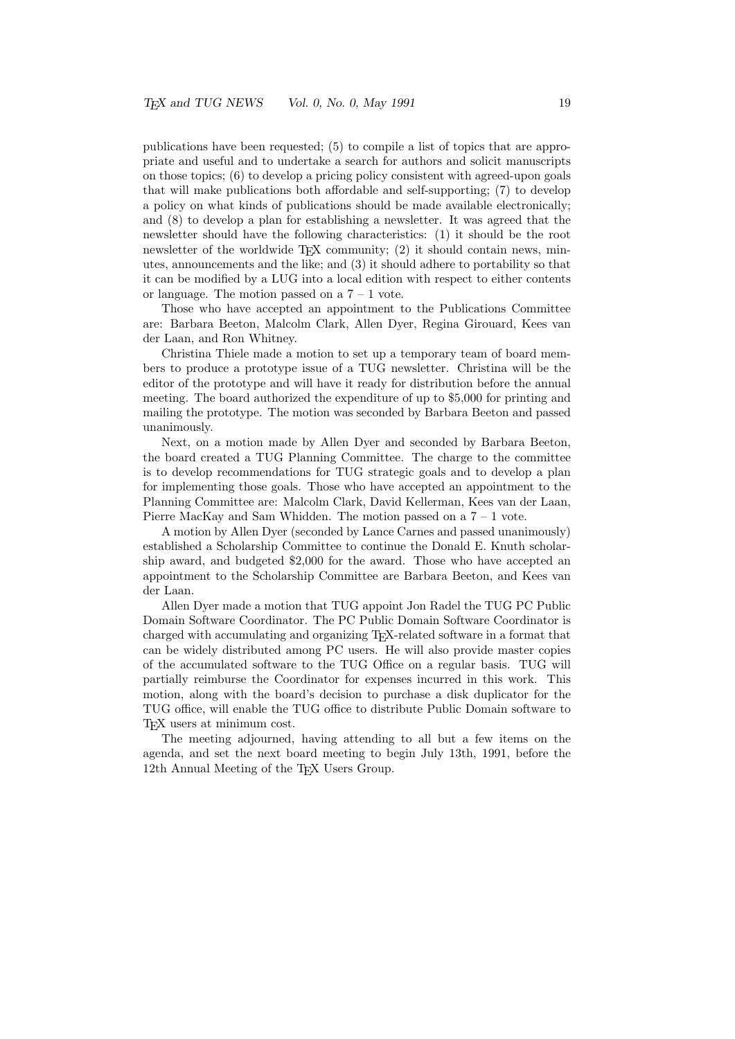publications have been requested; (5) to compile a list of topics that are appropriate and useful and to undertake a search for authors and solicit manuscripts on those topics; (6) to develop a pricing policy consistent with agreed-upon goals that will make publications both affordable and self-supporting; (7) to develop a policy on what kinds of publications should be made available electronically; and (8) to develop a plan for establishing a newsletter. It was agreed that the newsletter should have the following characteristics: (1) it should be the root newsletter of the worldwide T<sub>EX</sub> community;  $(2)$  it should contain news, minutes, announcements and the like; and (3) it should adhere to portability so that it can be modified by a LUG into a local edition with respect to either contents or language. The motion passed on a  $7 - 1$  vote.

Those who have accepted an appointment to the Publications Committee are: Barbara Beeton, Malcolm Clark, Allen Dyer, Regina Girouard, Kees van der Laan, and Ron Whitney.

Christina Thiele made a motion to set up a temporary team of board members to produce a prototype issue of a TUG newsletter. Christina will be the editor of the prototype and will have it ready for distribution before the annual meeting. The board authorized the expenditure of up to \$5,000 for printing and mailing the prototype. The motion was seconded by Barbara Beeton and passed unanimously.

Next, on a motion made by Allen Dyer and seconded by Barbara Beeton, the board created a TUG Planning Committee. The charge to the committee is to develop recommendations for TUG strategic goals and to develop a plan for implementing those goals. Those who have accepted an appointment to the Planning Committee are: Malcolm Clark, David Kellerman, Kees van der Laan, Pierre MacKay and Sam Whidden. The motion passed on a  $7 - 1$  vote.

A motion by Allen Dyer (seconded by Lance Carnes and passed unanimously) established a Scholarship Committee to continue the Donald E. Knuth scholarship award, and budgeted \$2,000 for the award. Those who have accepted an appointment to the Scholarship Committee are Barbara Beeton, and Kees van der Laan.

Allen Dyer made a motion that TUG appoint Jon Radel the TUG PC Public Domain Software Coordinator. The PC Public Domain Software Coordinator is charged with accumulating and organizing TEX-related software in a format that can be widely distributed among PC users. He will also provide master copies of the accumulated software to the TUG Office on a regular basis. TUG will partially reimburse the Coordinator for expenses incurred in this work. This motion, along with the board's decision to purchase a disk duplicator for the TUG office, will enable the TUG office to distribute Public Domain software to TEX users at minimum cost.

The meeting adjourned, having attending to all but a few items on the agenda, and set the next board meeting to begin July 13th, 1991, before the 12th Annual Meeting of the T<sub>E</sub>X Users Group.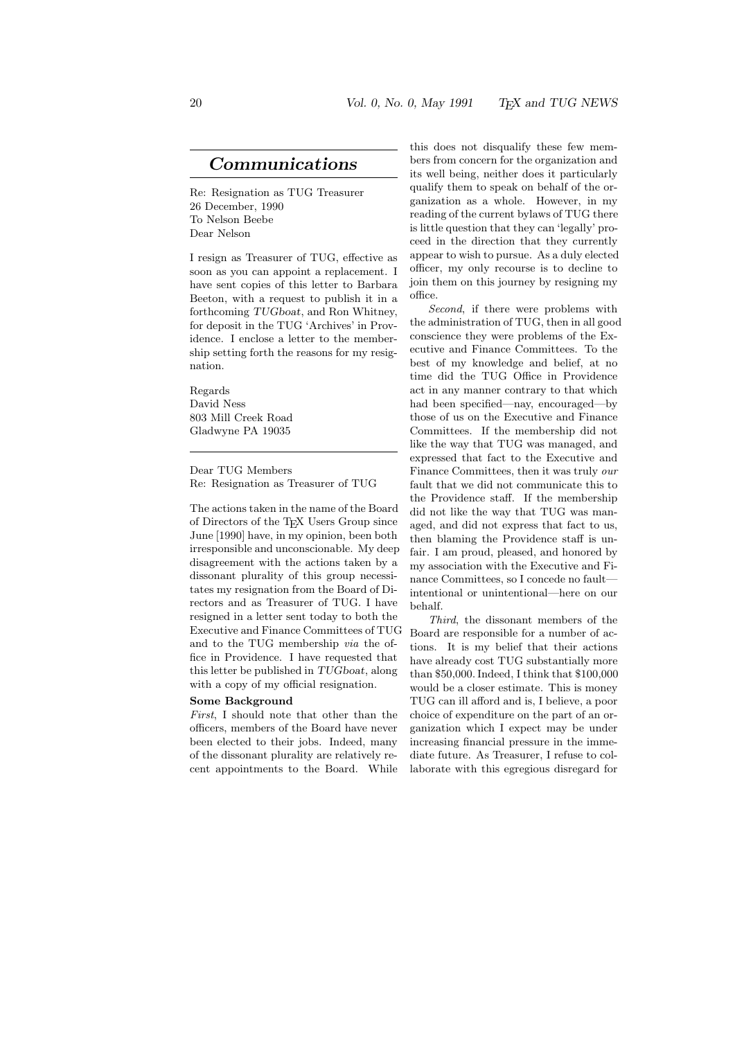### Communications

Re: Resignation as TUG Treasurer 26 December, 1990 To Nelson Beebe Dear Nelson

I resign as Treasurer of TUG, effective as soon as you can appoint a replacement. I have sent copies of this letter to Barbara Beeton, with a request to publish it in a forthcoming TUGboat, and Ron Whitney, for deposit in the TUG 'Archives' in Providence. I enclose a letter to the membership setting forth the reasons for my resignation.

Regards David Ness 803 Mill Creek Road Gladwyne PA 19035

Dear TUG Members Re: Resignation as Treasurer of TUG

The actions taken in the name of the Board of Directors of the TEX Users Group since June [1990] have, in my opinion, been both irresponsible and unconscionable. My deep disagreement with the actions taken by a dissonant plurality of this group necessitates my resignation from the Board of Directors and as Treasurer of TUG. I have resigned in a letter sent today to both the Executive and Finance Committees of TUG and to the TUG membership via the office in Providence. I have requested that this letter be published in TUGboat, along with a copy of my official resignation.

#### Some Background

First, I should note that other than the officers, members of the Board have never been elected to their jobs. Indeed, many of the dissonant plurality are relatively recent appointments to the Board. While

this does not disqualify these few members from concern for the organization and its well being, neither does it particularly qualify them to speak on behalf of the organization as a whole. However, in my reading of the current bylaws of TUG there is little question that they can 'legally' proceed in the direction that they currently appear to wish to pursue. As a duly elected officer, my only recourse is to decline to join them on this journey by resigning my office.

Second, if there were problems with the administration of TUG, then in all good conscience they were problems of the Executive and Finance Committees. To the best of my knowledge and belief, at no time did the TUG Office in Providence act in any manner contrary to that which had been specified—nay, encouraged—by those of us on the Executive and Finance Committees. If the membership did not like the way that TUG was managed, and expressed that fact to the Executive and Finance Committees, then it was truly our fault that we did not communicate this to the Providence staff. If the membership did not like the way that TUG was managed, and did not express that fact to us, then blaming the Providence staff is unfair. I am proud, pleased, and honored by my association with the Executive and Finance Committees, so I concede no fault intentional or unintentional—here on our behalf.

Third, the dissonant members of the Board are responsible for a number of actions. It is my belief that their actions have already cost TUG substantially more than \$50,000. Indeed, I think that \$100,000 would be a closer estimate. This is money TUG can ill afford and is, I believe, a poor choice of expenditure on the part of an organization which I expect may be under increasing financial pressure in the immediate future. As Treasurer, I refuse to collaborate with this egregious disregard for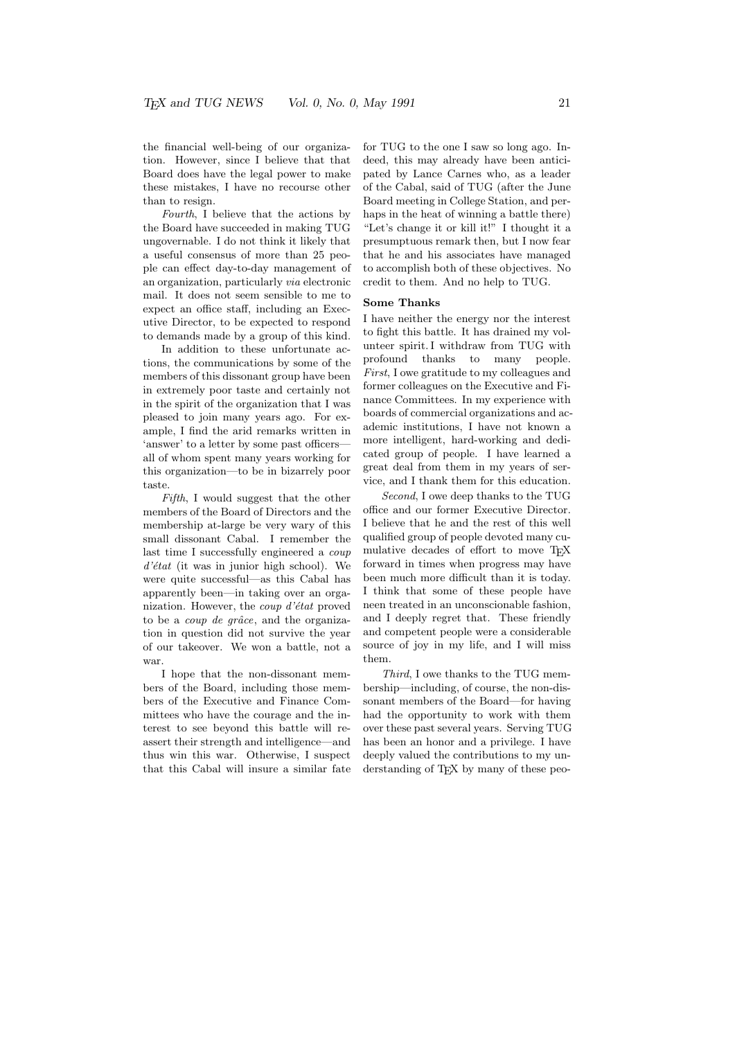the financial well-being of our organization. However, since I believe that that Board does have the legal power to make these mistakes, I have no recourse other than to resign.

Fourth, I believe that the actions by the Board have succeeded in making TUG ungovernable. I do not think it likely that a useful consensus of more than 25 people can effect day-to-day management of an organization, particularly via electronic mail. It does not seem sensible to me to expect an office staff, including an Executive Director, to be expected to respond to demands made by a group of this kind.

In addition to these unfortunate actions, the communications by some of the members of this dissonant group have been in extremely poor taste and certainly not in the spirit of the organization that I was pleased to join many years ago. For example, I find the arid remarks written in 'answer' to a letter by some past officers all of whom spent many years working for this organization—to be in bizarrely poor taste.

Fifth, I would suggest that the other members of the Board of Directors and the membership at-large be very wary of this small dissonant Cabal. I remember the last time I successfully engineered a coup  $d'$ état (it was in junior high school). We were quite successful—as this Cabal has apparently been—in taking over an organization. However, the *coup d'état* proved to be a *coup de grâce*, and the organization in question did not survive the year of our takeover. We won a battle, not a war.

I hope that the non-dissonant members of the Board, including those members of the Executive and Finance Committees who have the courage and the interest to see beyond this battle will reassert their strength and intelligence—and thus win this war. Otherwise, I suspect that this Cabal will insure a similar fate for TUG to the one I saw so long ago. Indeed, this may already have been anticipated by Lance Carnes who, as a leader of the Cabal, said of TUG (after the June Board meeting in College Station, and perhaps in the heat of winning a battle there) "Let's change it or kill it!" I thought it a presumptuous remark then, but I now fear that he and his associates have managed to accomplish both of these objectives. No credit to them. And no help to TUG.

#### Some Thanks

I have neither the energy nor the interest to fight this battle. It has drained my volunteer spirit. I withdraw from TUG with profound thanks to many people. First, I owe gratitude to my colleagues and former colleagues on the Executive and Finance Committees. In my experience with boards of commercial organizations and academic institutions, I have not known a more intelligent, hard-working and dedicated group of people. I have learned a great deal from them in my years of service, and I thank them for this education.

Second, I owe deep thanks to the TUG office and our former Executive Director. I believe that he and the rest of this well qualified group of people devoted many cumulative decades of effort to move TEX forward in times when progress may have been much more difficult than it is today. I think that some of these people have neen treated in an unconscionable fashion, and I deeply regret that. These friendly and competent people were a considerable source of joy in my life, and I will miss them.

Third, I owe thanks to the TUG membership—including, of course, the non-dissonant members of the Board—for having had the opportunity to work with them over these past several years. Serving TUG has been an honor and a privilege. I have deeply valued the contributions to my understanding of T<sub>EX</sub> by many of these peo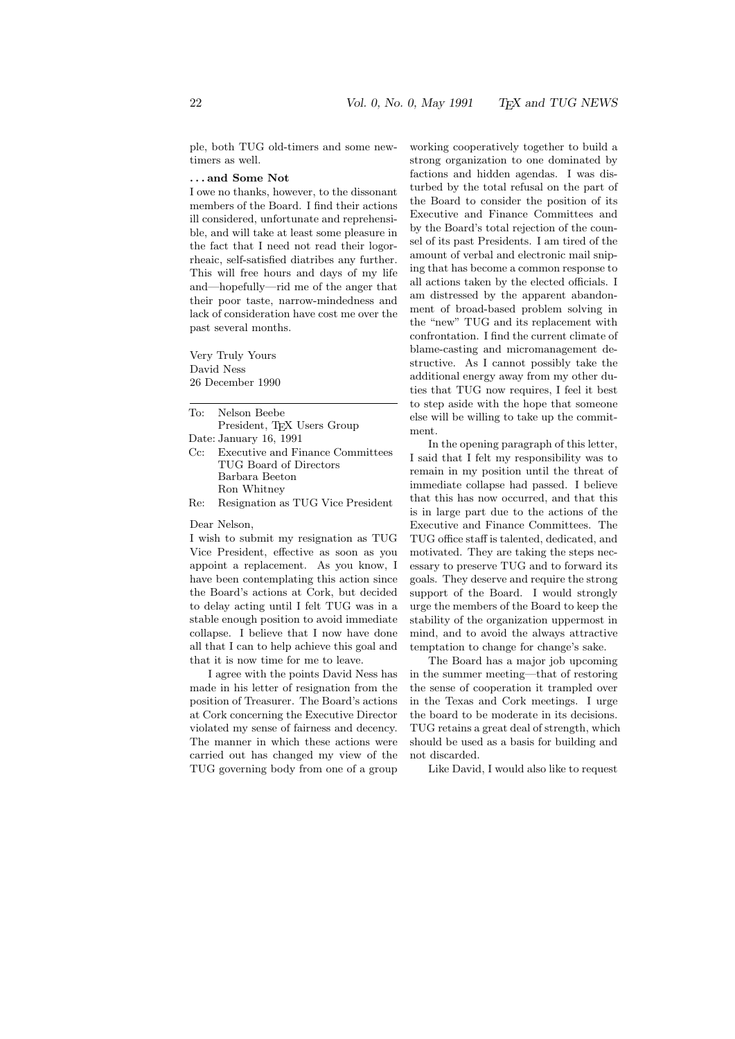ple, both TUG old-timers and some newtimers as well.

#### . . . and Some Not

I owe no thanks, however, to the dissonant members of the Board. I find their actions ill considered, unfortunate and reprehensible, and will take at least some pleasure in the fact that I need not read their logorrheaic, self-satisfied diatribes any further. This will free hours and days of my life and—hopefully—rid me of the anger that their poor taste, narrow-mindedness and lack of consideration have cost me over the past several months.

Very Truly Yours David Ness 26 December 1990

To: Nelson Beebe President, T<sub>E</sub>X Users Group

Date: January 16, 1991

- Cc: Executive and Finance Committees TUG Board of Directors Barbara Beeton Ron Whitney
- Re: Resignation as TUG Vice President

Dear Nelson,

I wish to submit my resignation as TUG Vice President, effective as soon as you appoint a replacement. As you know, I have been contemplating this action since the Board's actions at Cork, but decided to delay acting until I felt TUG was in a stable enough position to avoid immediate collapse. I believe that I now have done all that I can to help achieve this goal and that it is now time for me to leave.

I agree with the points David Ness has made in his letter of resignation from the position of Treasurer. The Board's actions at Cork concerning the Executive Director violated my sense of fairness and decency. The manner in which these actions were carried out has changed my view of the TUG governing body from one of a group

working cooperatively together to build a strong organization to one dominated by factions and hidden agendas. I was disturbed by the total refusal on the part of the Board to consider the position of its Executive and Finance Committees and by the Board's total rejection of the counsel of its past Presidents. I am tired of the amount of verbal and electronic mail sniping that has become a common response to all actions taken by the elected officials. I am distressed by the apparent abandonment of broad-based problem solving in the "new" TUG and its replacement with confrontation. I find the current climate of blame-casting and micromanagement destructive. As I cannot possibly take the additional energy away from my other duties that TUG now requires, I feel it best to step aside with the hope that someone else will be willing to take up the commitment.

In the opening paragraph of this letter, I said that I felt my responsibility was to remain in my position until the threat of immediate collapse had passed. I believe that this has now occurred, and that this is in large part due to the actions of the Executive and Finance Committees. The TUG office staff is talented, dedicated, and motivated. They are taking the steps necessary to preserve TUG and to forward its goals. They deserve and require the strong support of the Board. I would strongly urge the members of the Board to keep the stability of the organization uppermost in mind, and to avoid the always attractive temptation to change for change's sake.

The Board has a major job upcoming in the summer meeting—that of restoring the sense of cooperation it trampled over in the Texas and Cork meetings. I urge the board to be moderate in its decisions. TUG retains a great deal of strength, which should be used as a basis for building and not discarded.

Like David, I would also like to request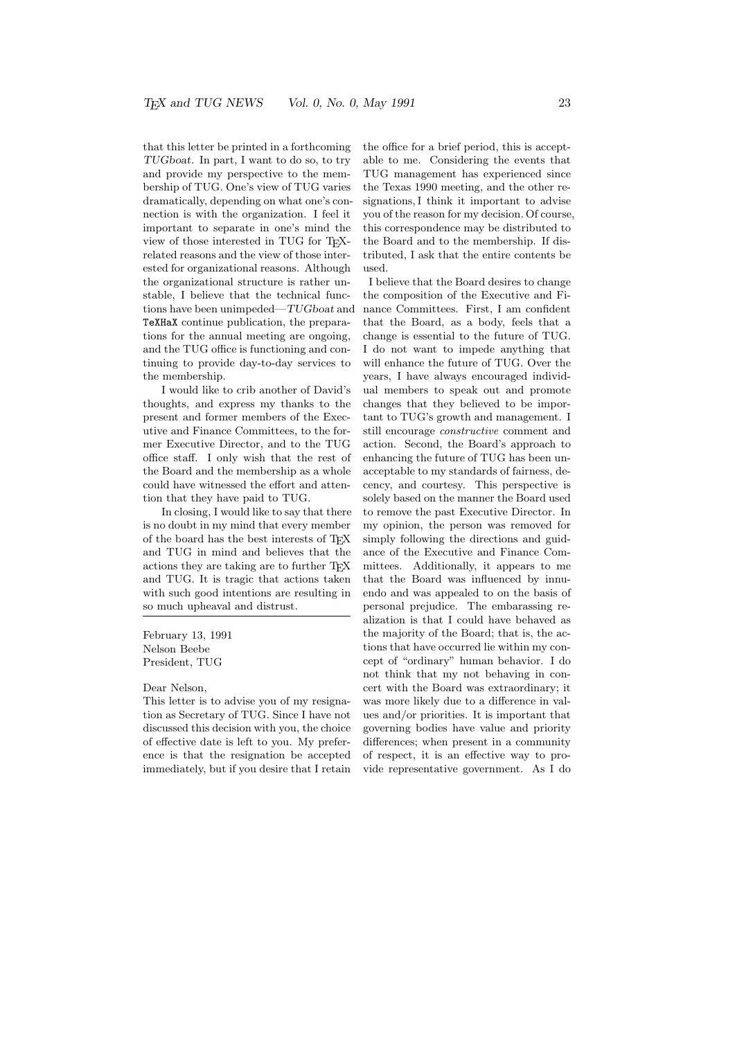that this letter be printed in a forthcoming TUGboat. In part, I want to do so, to try and provide my perspective to the membership of TUG. One's view of TUG varies dramatically, depending on what one's connection is with the organization. I feel it important to separate in one's mind the view of those interested in TUG for TEXrelated reasons and the view of those interested for organizational reasons. Although the organizational structure is rather unstable, I believe that the technical functions have been unimpeded—TUGboat and TeXHaX continue publication, the preparations for the annual meeting are ongoing, and the TUG office is functioning and continuing to provide day-to-day services to the membership.

I would like to crib another of David's thoughts, and express my thanks to the present and former members of the Executive and Finance Committees, to the former Executive Director, and to the TUG office staff. I only wish that the rest of the Board and the membership as a whole could have witnessed the effort and attention that they have paid to TUG.

In closing, I would like to say that there is no doubt in my mind that every member of the board has the best interests of TEX and TUG in mind and believes that the actions they are taking are to further TEX and TUG. It is tragic that actions taken with such good intentions are resulting in so much upheaval and distrust.

February 13, 1991 Nelson Beebe President, TUG

#### Dear Nelson,

This letter is to advise you of my resignation as Secretary of TUG. Since I have not discussed this decision with you, the choice of effective date is left to you. My preference is that the resignation be accepted immediately, but if you desire that I retain the office for a brief period, this is acceptable to me. Considering the events that TUG management has experienced since the Texas 1990 meeting, and the other resignations, I think it important to advise you of the reason for my decision. Of course, this correspondence may be distributed to the Board and to the membership. If distributed, I ask that the entire contents be used.

I believe that the Board desires to change the composition of the Executive and Finance Committees. First, I am confident that the Board, as a body, feels that a change is essential to the future of TUG. I do not want to impede anything that will enhance the future of TUG. Over the years, I have always encouraged individual members to speak out and promote changes that they believed to be important to TUG's growth and management. I still encourage constructive comment and action. Second, the Board's approach to enhancing the future of TUG has been unacceptable to my standards of fairness, decency, and courtesy. This perspective is solely based on the manner the Board used to remove the past Executive Director. In my opinion, the person was removed for simply following the directions and guidance of the Executive and Finance Committees. Additionally, it appears to me that the Board was influenced by innuendo and was appealed to on the basis of personal prejudice. The embarassing realization is that I could have behaved as the majority of the Board; that is, the actions that have occurred lie within my concept of "ordinary" human behavior. I do not think that my not behaving in concert with the Board was extraordinary; it was more likely due to a difference in values and/or priorities. It is important that governing bodies have value and priority differences; when present in a community of respect, it is an effective way to provide representative government. As I do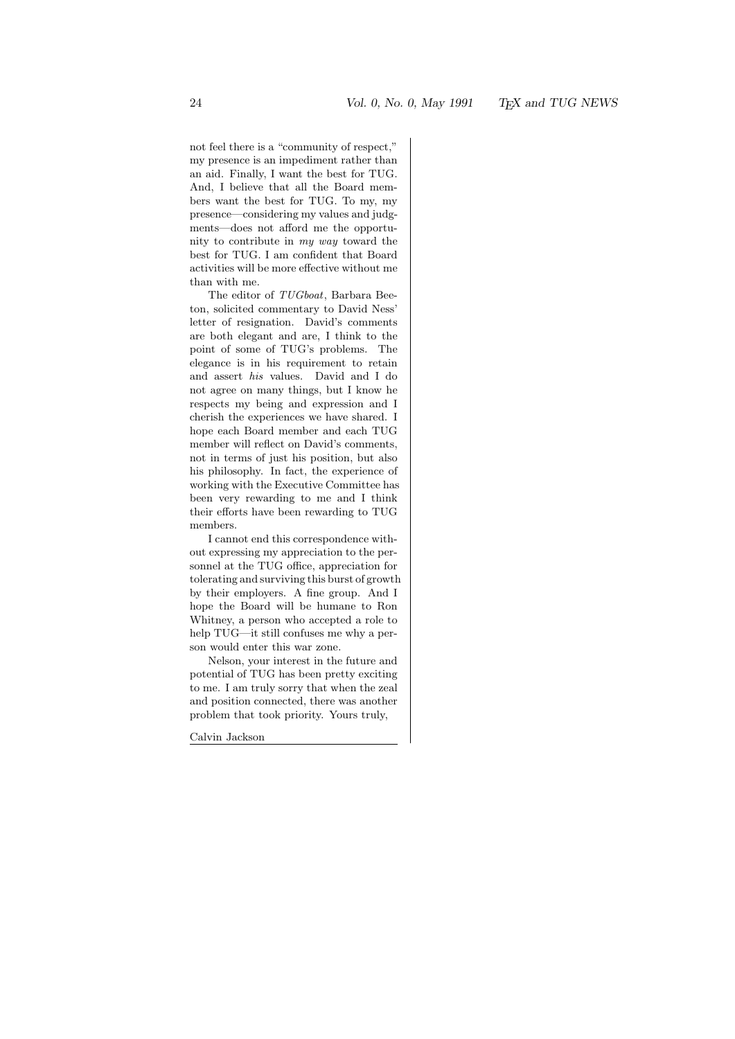not feel there is a "community of respect," my presence is an impediment rather than an aid. Finally, I want the best for TUG. And, I believe that all the Board members want the best for TUG. To my, my presence—considering my values and judgments—does not afford me the opportunity to contribute in my way toward the best for TUG. I am confident that Board activities will be more effective without me than with me.

The editor of TUGboat, Barbara Beeton, solicited commentary to David Ness' letter of resignation. David's comments are both elegant and are, I think to the point of some of TUG's problems. The elegance is in his requirement to retain and assert his values. David and I do not agree on many things, but I know he respects my being and expression and I cherish the experiences we have shared. I hope each Board member and each TUG member will reflect on David's comments, not in terms of just his position, but also his philosophy. In fact, the experience of working with the Executive Committee has been very rewarding to me and I think their efforts have been rewarding to TUG members.

I cannot end this correspondence without expressing my appreciation to the personnel at the TUG office, appreciation for tolerating and surviving this burst of growth by their employers. A fine group. And I hope the Board will be humane to Ron Whitney, a person who accepted a role to help TUG—it still confuses me why a person would enter this war zone.

Nelson, your interest in the future and potential of TUG has been pretty exciting to me. I am truly sorry that when the zeal and position connected, there was another problem that took priority. Yours truly,

Calvin Jackson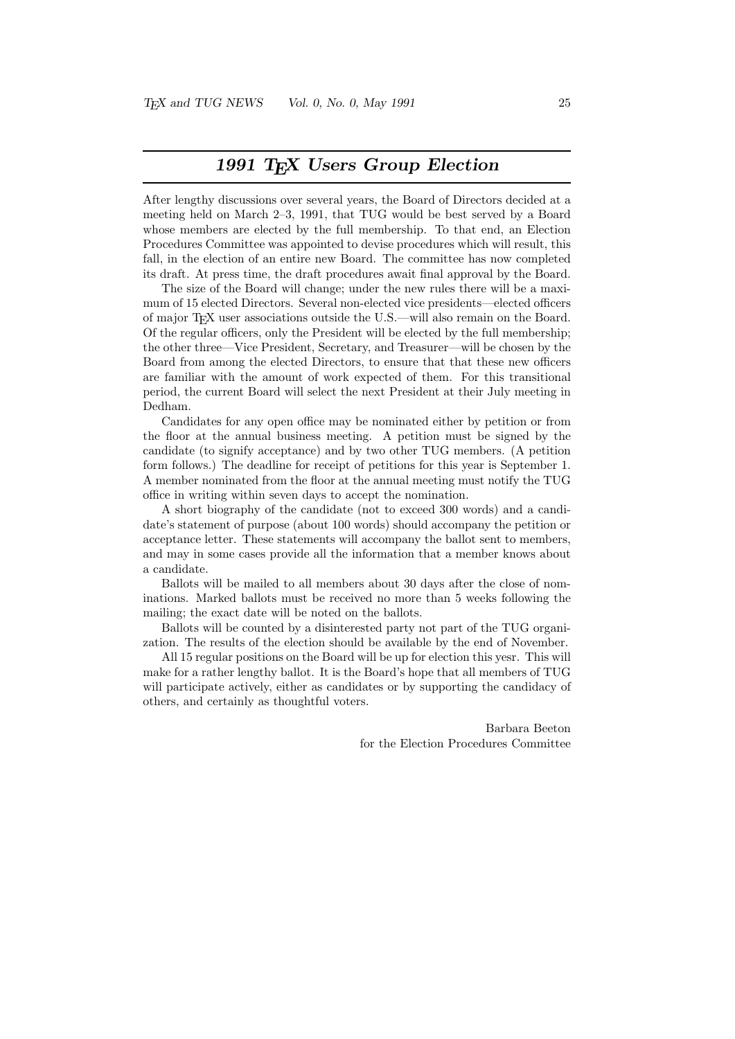### 1991 T<sub>F</sub>X Users Group Election

After lengthy discussions over several years, the Board of Directors decided at a meeting held on March 2–3, 1991, that TUG would be best served by a Board whose members are elected by the full membership. To that end, an Election Procedures Committee was appointed to devise procedures which will result, this fall, in the election of an entire new Board. The committee has now completed its draft. At press time, the draft procedures await final approval by the Board.

The size of the Board will change; under the new rules there will be a maximum of 15 elected Directors. Several non-elected vice presidents—elected officers of major TEX user associations outside the U.S.—will also remain on the Board. Of the regular officers, only the President will be elected by the full membership; the other three—Vice President, Secretary, and Treasurer—will be chosen by the Board from among the elected Directors, to ensure that that these new officers are familiar with the amount of work expected of them. For this transitional period, the current Board will select the next President at their July meeting in Dedham.

Candidates for any open office may be nominated either by petition or from the floor at the annual business meeting. A petition must be signed by the candidate (to signify acceptance) and by two other TUG members. (A petition form follows.) The deadline for receipt of petitions for this year is September 1. A member nominated from the floor at the annual meeting must notify the TUG office in writing within seven days to accept the nomination.

A short biography of the candidate (not to exceed 300 words) and a candidate's statement of purpose (about 100 words) should accompany the petition or acceptance letter. These statements will accompany the ballot sent to members, and may in some cases provide all the information that a member knows about a candidate.

Ballots will be mailed to all members about 30 days after the close of nominations. Marked ballots must be received no more than 5 weeks following the mailing; the exact date will be noted on the ballots.

Ballots will be counted by a disinterested party not part of the TUG organization. The results of the election should be available by the end of November.

All 15 regular positions on the Board will be up for election this yesr. This will make for a rather lengthy ballot. It is the Board's hope that all members of TUG will participate actively, either as candidates or by supporting the candidacy of others, and certainly as thoughtful voters.

> Barbara Beeton for the Election Procedures Committee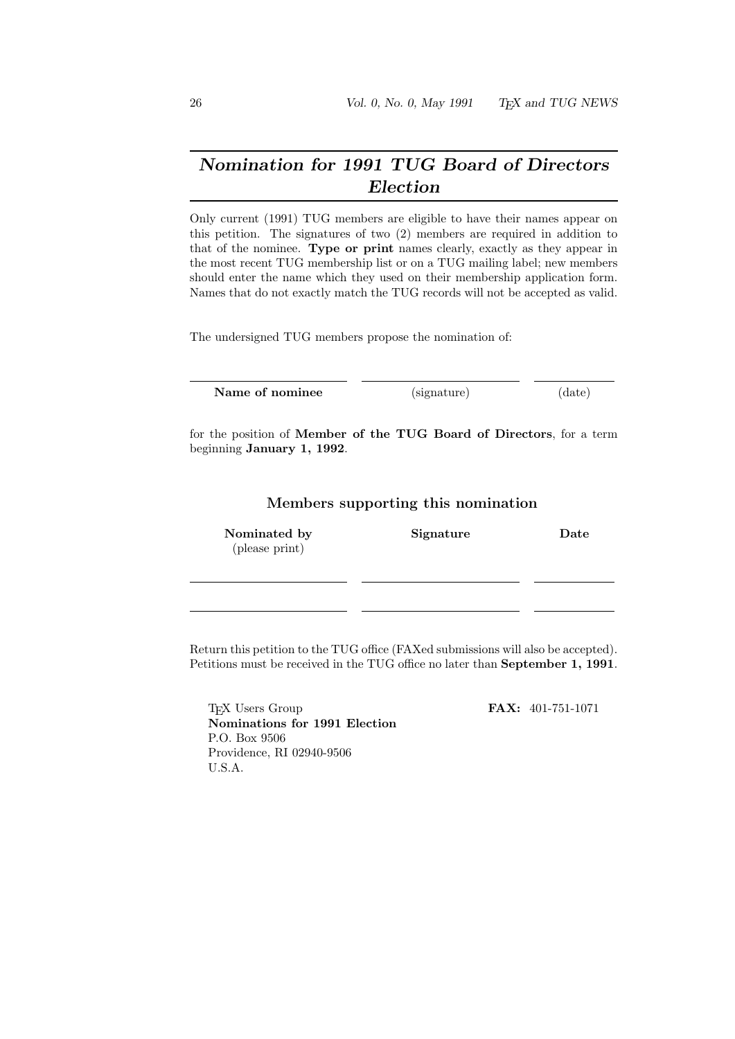## Nomination for 1991 TUG Board of Directors Election

Only current (1991) TUG members are eligible to have their names appear on this petition. The signatures of two (2) members are required in addition to that of the nominee. Type or print names clearly, exactly as they appear in the most recent TUG membership list or on a TUG mailing label; new members should enter the name which they used on their membership application form. Names that do not exactly match the TUG records will not be accepted as valid.

The undersigned TUG members propose the nomination of:

Name of nominee (signature) (date)

for the position of Member of the TUG Board of Directors, for a term beginning January 1, 1992.

Members supporting this nomination

| Nominated by<br>(please print) | Signature | Date |
|--------------------------------|-----------|------|
|                                |           |      |
|                                |           |      |

Return this petition to the TUG office (FAXed submissions will also be accepted). Petitions must be received in the TUG office no later than September 1, 1991.

T<sub>F</sub>X Users Group **FAX:** 401-751-1071 Nominations for 1991 Election P.O. Box 9506 Providence, RI 02940-9506 U.S.A.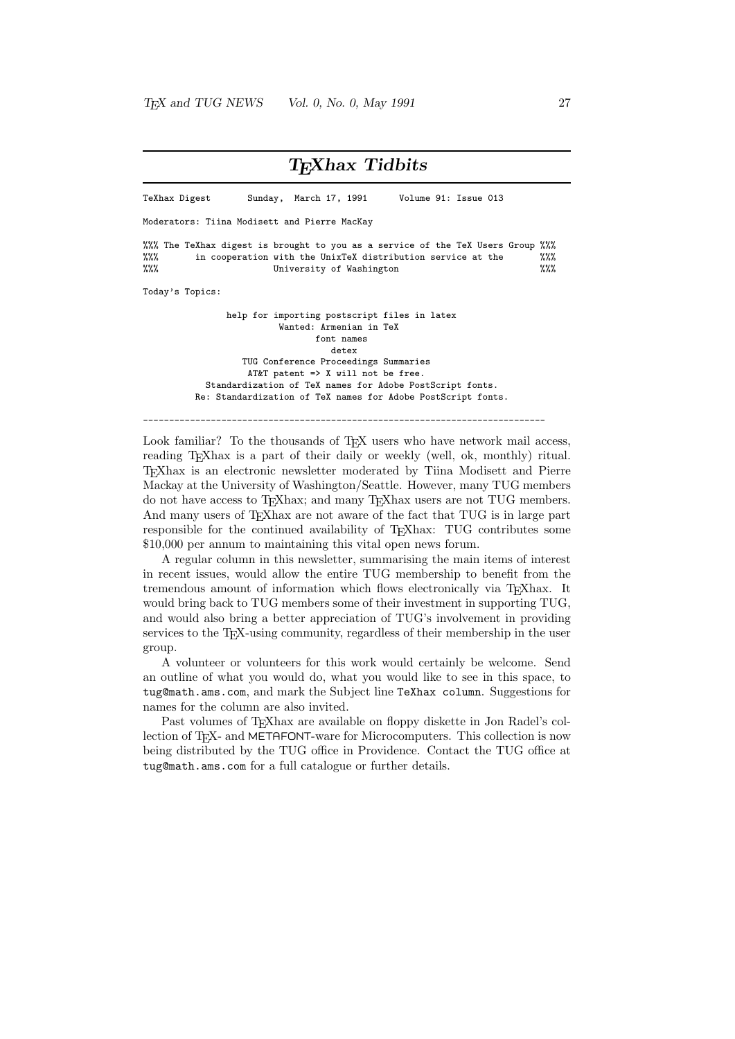### T<sub>E</sub>Xhax Tidbits TeXhax Digest Sunday, March 17, 1991 Volume 91: Issue 013 Moderators: Tiina Modisett and Pierre MacKay %%% The TeXhax digest is brought to you as a service of the TeX Users Group %%%<br>%%% in cooperation with the UnixTeX distribution service at the %%% in cooperation with the UnixTeX distribution service at the %%% University of Washington %%% Today's Topics: help for importing postscript files in latex Wanted: Armenian in TeX font names detex TUG Conference Proceedings Summaries AT&T patent => X will not be free. Standardization of TeX names for Adobe PostScript fonts. Re: Standardization of TeX names for Adobe PostScript fonts. -----------------------------------------------------------------------------

Look familiar? To the thousands of T<sub>E</sub>X users who have network mail access, reading T<sub>EX</sub>hax is a part of their daily or weekly (well, ok, monthly) ritual. TEXhax is an electronic newsletter moderated by Tiina Modisett and Pierre Mackay at the University of Washington/Seattle. However, many TUG members do not have access to TEXhax; and many TEXhax users are not TUG members. And many users of T<sub>E</sub>Xhax are not aware of the fact that TUG is in large part responsible for the continued availability of TEXhax: TUG contributes some \$10,000 per annum to maintaining this vital open news forum.

A regular column in this newsletter, summarising the main items of interest in recent issues, would allow the entire TUG membership to benefit from the tremendous amount of information which flows electronically via TEXhax. It would bring back to TUG members some of their investment in supporting TUG, and would also bring a better appreciation of TUG's involvement in providing services to the T<sub>EX</sub>-using community, regardless of their membership in the user group.

A volunteer or volunteers for this work would certainly be welcome. Send an outline of what you would do, what you would like to see in this space, to tug@math.ams.com, and mark the Subject line TeXhax column. Suggestions for names for the column are also invited.

Past volumes of TEXhax are available on floppy diskette in Jon Radel's collection of T<sub>E</sub>X- and METAFONT-ware for Microcomputers. This collection is now being distributed by the TUG office in Providence. Contact the TUG office at tug@math.ams.com for a full catalogue or further details.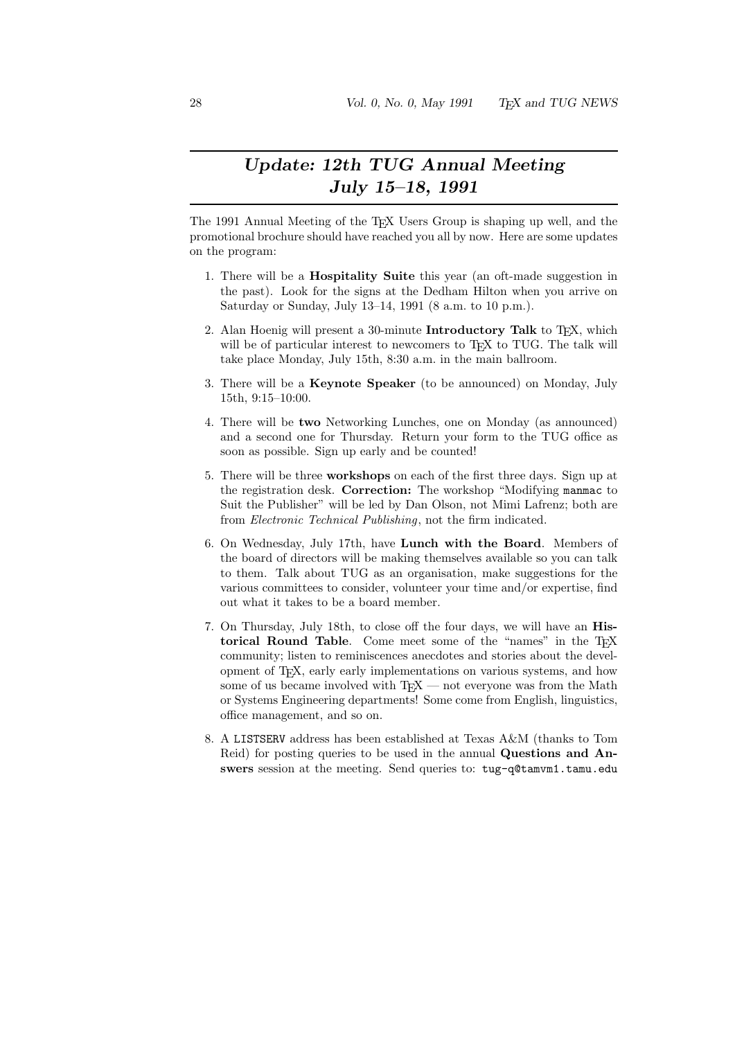## Update: 12th TUG Annual Meeting July 15–18, 1991

The 1991 Annual Meeting of the T<sub>EX</sub> Users Group is shaping up well, and the promotional brochure should have reached you all by now. Here are some updates on the program:

- 1. There will be a Hospitality Suite this year (an oft-made suggestion in the past). Look for the signs at the Dedham Hilton when you arrive on Saturday or Sunday, July 13–14, 1991 (8 a.m. to 10 p.m.).
- 2. Alan Hoenig will present a 30-minute Introductory Talk to TEX, which will be of particular interest to newcomers to T<sub>E</sub>X to TUG. The talk will take place Monday, July 15th, 8:30 a.m. in the main ballroom.
- 3. There will be a Keynote Speaker (to be announced) on Monday, July 15th, 9:15–10:00.
- 4. There will be two Networking Lunches, one on Monday (as announced) and a second one for Thursday. Return your form to the TUG office as soon as possible. Sign up early and be counted!
- 5. There will be three workshops on each of the first three days. Sign up at the registration desk. Correction: The workshop "Modifying manmac to Suit the Publisher" will be led by Dan Olson, not Mimi Lafrenz; both are from Electronic Technical Publishing, not the firm indicated.
- 6. On Wednesday, July 17th, have Lunch with the Board. Members of the board of directors will be making themselves available so you can talk to them. Talk about TUG as an organisation, make suggestions for the various committees to consider, volunteer your time and/or expertise, find out what it takes to be a board member.
- 7. On Thursday, July 18th, to close off the four days, we will have an Historical Round Table. Come meet some of the "names" in the TEX community; listen to reminiscences anecdotes and stories about the development of TEX, early early implementations on various systems, and how some of us became involved with  $TFX$  — not everyone was from the Math or Systems Engineering departments! Some come from English, linguistics, office management, and so on.
- 8. A LISTSERV address has been established at Texas A&M (thanks to Tom Reid) for posting queries to be used in the annual Questions and Answers session at the meeting. Send queries to: tug-q@tamvm1.tamu.edu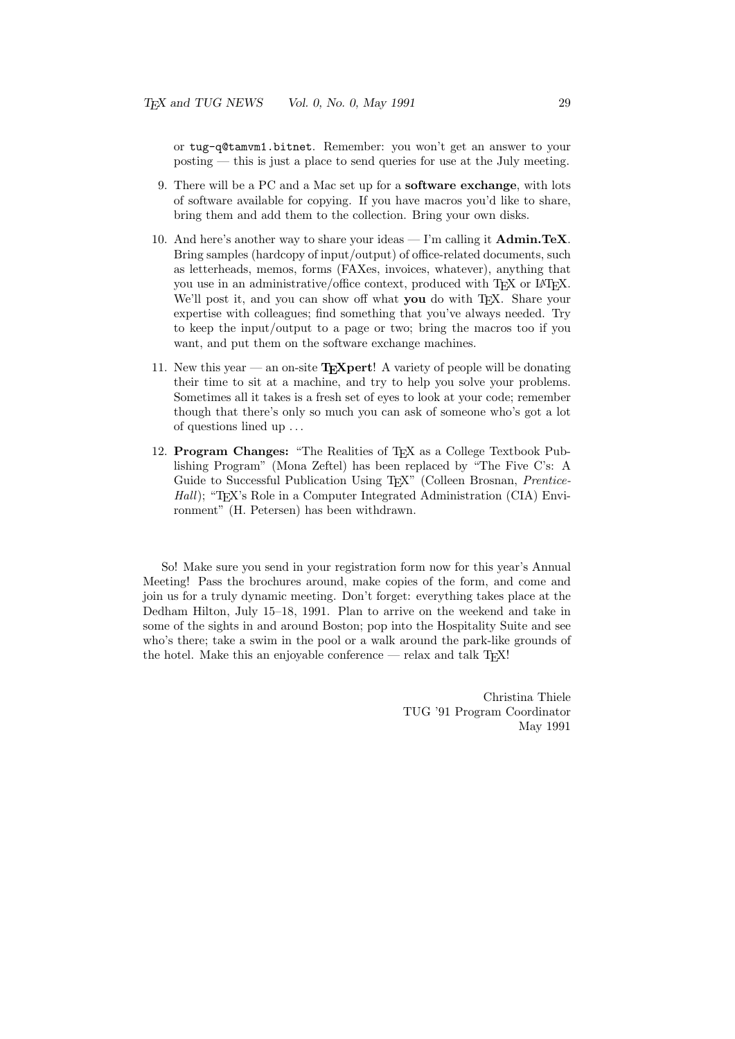or tug-q@tamvm1.bitnet. Remember: you won't get an answer to your posting — this is just a place to send queries for use at the July meeting.

- 9. There will be a PC and a Mac set up for a software exchange, with lots of software available for copying. If you have macros you'd like to share, bring them and add them to the collection. Bring your own disks.
- 10. And here's another way to share your ideas I'm calling it  $\text{Admin.TeV}$ . Bring samples (hardcopy of input/output) of office-related documents, such as letterheads, memos, forms (FAXes, invoices, whatever), anything that you use in an administrative/office context, produced with TFX or IATFX. We'll post it, and you can show off what you do with T<sub>EX</sub>. Share your expertise with colleagues; find something that you've always needed. Try to keep the input/output to a page or two; bring the macros too if you want, and put them on the software exchange machines.
- 11. New this year an on-site  $T<sub>E</sub>Xpert!$  A variety of people will be donating their time to sit at a machine, and try to help you solve your problems. Sometimes all it takes is a fresh set of eyes to look at your code; remember though that there's only so much you can ask of someone who's got a lot of questions lined up . . .
- 12. Program Changes: "The Realities of TEX as a College Textbook Publishing Program" (Mona Zeftel) has been replaced by "The Five C's: A Guide to Successful Publication Using T<sub>E</sub>X" (Colleen Brosnan, *Prentice*-Hall); "T<sub>E</sub>X's Role in a Computer Integrated Administration (CIA) Environment" (H. Petersen) has been withdrawn.

So! Make sure you send in your registration form now for this year's Annual Meeting! Pass the brochures around, make copies of the form, and come and join us for a truly dynamic meeting. Don't forget: everything takes place at the Dedham Hilton, July 15–18, 1991. Plan to arrive on the weekend and take in some of the sights in and around Boston; pop into the Hospitality Suite and see who's there; take a swim in the pool or a walk around the park-like grounds of the hotel. Make this an enjoyable conference — relax and talk  $T<sub>F</sub>X!$ 

> Christina Thiele TUG '91 Program Coordinator May 1991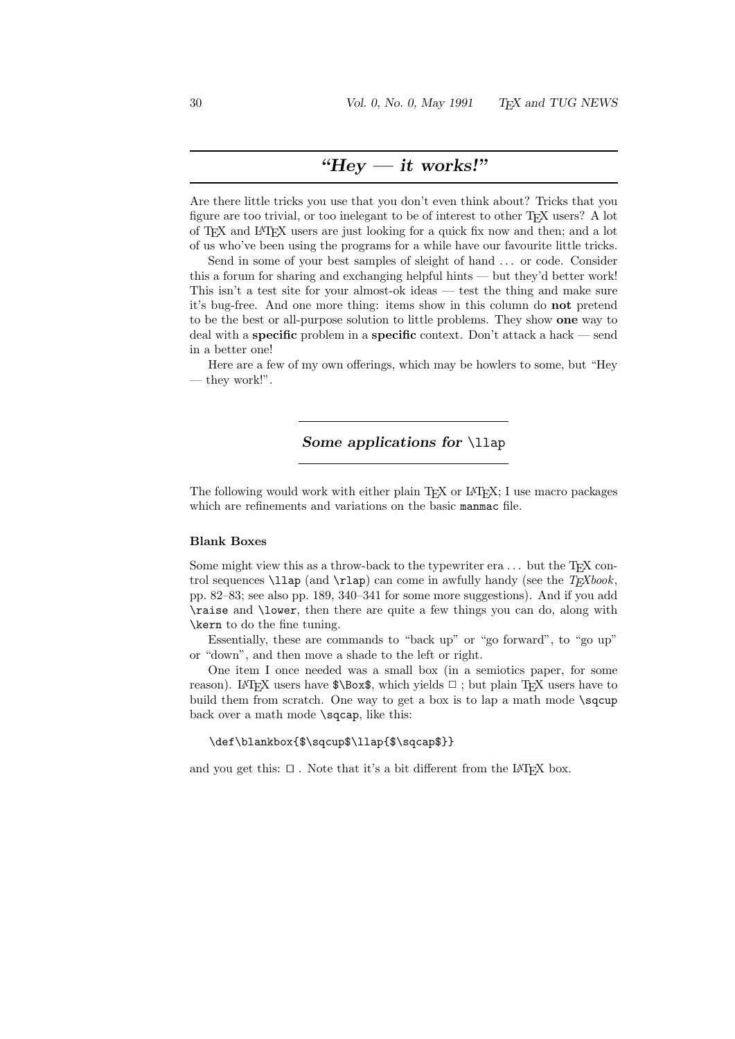## "Hey  $-$  it works!"

Are there little tricks you use that you don't even think about? Tricks that you figure are too trivial, or too inelegant to be of interest to other T<sub>E</sub>X users? A lot of TEX and LATEX users are just looking for a quick fix now and then; and a lot of us who've been using the programs for a while have our favourite little tricks.

Send in some of your best samples of sleight of hand ... or code. Consider this a forum for sharing and exchanging helpful hints — but they'd better work! This isn't a test site for your almost-ok ideas — test the thing and make sure it's bug-free. And one more thing: items show in this column do not pretend to be the best or all-purpose solution to little problems. They show one way to deal with a specific problem in a specific context. Don't attack a hack — send in a better one!

Here are a few of my own offerings, which may be howlers to some, but "Hey — they work!".

### Some applications for **\llap**

The following would work with either plain T<sub>E</sub>X or L<sup>AT</sup>EX; I use macro packages which are refinements and variations on the basic manmac file.

### Blank Boxes

Some might view this as a throw-back to the typewriter era  $\dots$  but the TEX control sequences  $\lambda$  and  $\rho$  (and  $\lambda$  can come in awfully handy (see the  $T<sub>F</sub>Xbook$ , pp. 82–83; see also pp. 189, 340–341 for some more suggestions). And if you add \raise and \lower, then there are quite a few things you can do, along with \kern to do the fine tuning.

Essentially, these are commands to "back up" or "go forward", to "go up" or "down", and then move a shade to the left or right.

One item I once needed was a small box (in a semiotics paper, for some reason). LATEX users have  $\Box$  which yields  $\Box$ ; but plain TEX users have to build them from scratch. One way to get a box is to lap a math mode \sqcup back over a math mode \sqcap, like this:

#### \def\blankbox{\$\sqcup\$\llap{\$\sqcap\$}}

and you get this:  $\Box$ . Note that it's a bit different from the LAT<sub>EX</sub> box.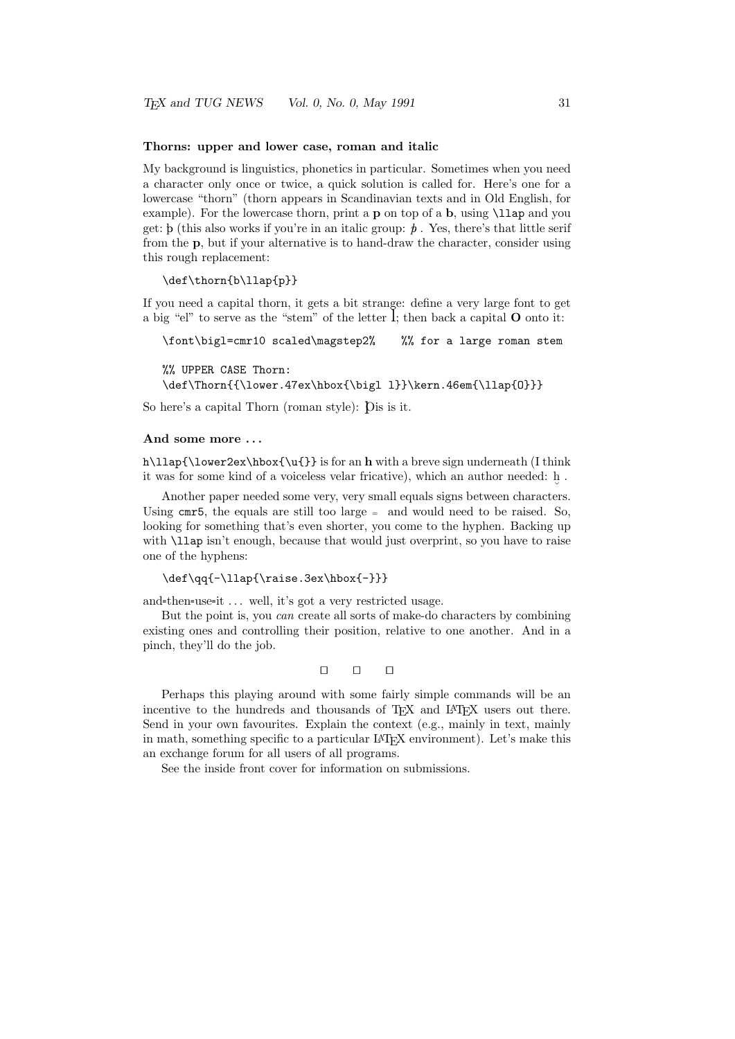#### Thorns: upper and lower case, roman and italic

My background is linguistics, phonetics in particular. Sometimes when you need a character only once or twice, a quick solution is called for. Here's one for a lowercase "thorn" (thorn appears in Scandinavian texts and in Old English, for example). For the lowercase thorn, print a p on top of a b, using \llap and you get: b (this also works if you're in an italic group:  $\dot{b}$ . Yes, there's that little serif from the p, but if your alternative is to hand-draw the character, consider using this rough replacement:

#### \def\thorn{b\llap{p}}

If you need a capital thorn, it gets a bit strange: define a very large font to get a big "el" to serve as the "stem" of the letter l; then back a capital <sup>O</sup> onto it:

\font\bigl=cmr10 scaled\magstep2% %% for a large roman stem

%% UPPER CASE Thorn:

\def\Thorn{{\lower.47ex\hbox{\bigl l}}\kern.46em{\llap{0}}}

So here's a capital Thorn (roman style): Dis is it.

#### And some more . . .

h\llap{\lower2ex\hbox{\u{}} is for an h with a breve sign underneath (I think it was for some kind of a voiceless velar fricative), which an author needed: h .

Another paper needed some very, very small equals signs between characters. Using  $cm\tau$ 5, the equals are still too large  $=$  and would need to be raised. So, looking for something that's even shorter, you come to the hyphen. Backing up with  $\lambda$ llap isn't enough, because that would just overprint, so you have to raise one of the hyphens:

```
\def\qq{-\llap{\raise.3ex\hbox{-}}}
```
and-then-use-it  $\dots$  well, it's got a very restricted usage.

But the point is, you can create all sorts of make-do characters by combining existing ones and controlling their position, relative to one another. And in a pinch, they'll do the job.

```
n \quad n \quad n
```
Perhaps this playing around with some fairly simple commands will be an incentive to the hundreds and thousands of  $T_F X$  and  $IAT_F X$  users out there. Send in your own favourites. Explain the context (e.g., mainly in text, mainly in math, something specific to a particular LAT<sub>EX</sub> environment). Let's make this an exchange forum for all users of all programs.

See the inside front cover for information on submissions.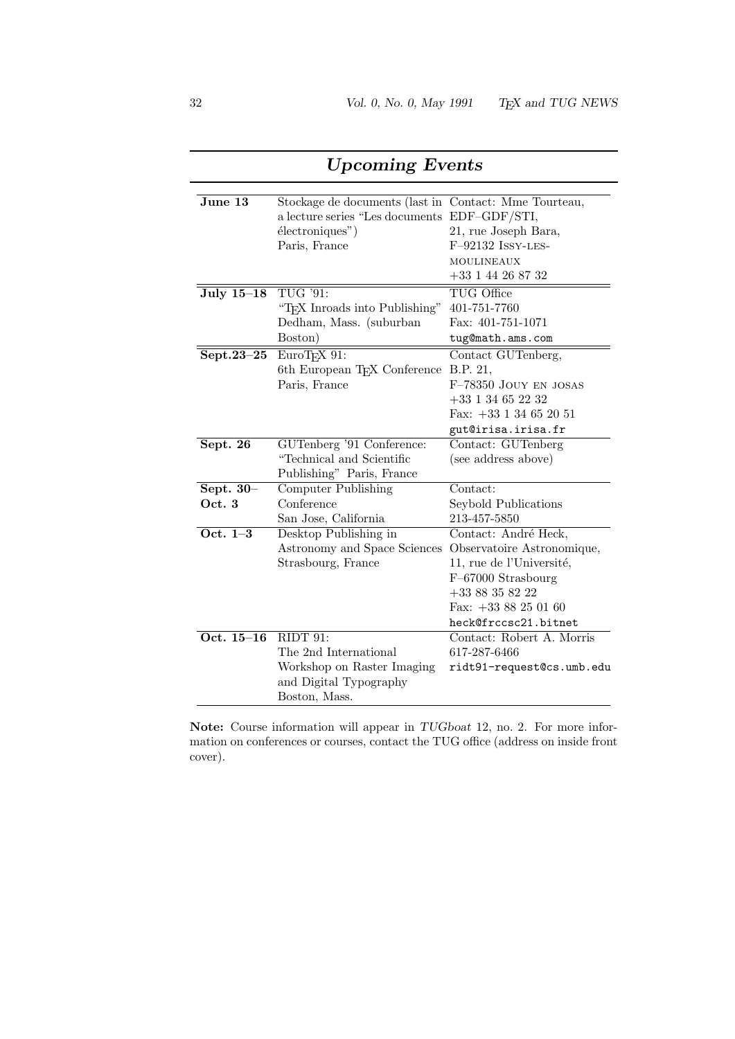| $J$ une $13$         | Stockage de documents (last in Contact: Mme Tourteau,<br>a lecture series "Les documents EDF-GDF/STI,<br>$\acute{e}$ lectroniques")<br>Paris, France | 21, rue Joseph Bara,<br>F-92132 ISSY-LES-<br><b>MOULINEAUX</b><br>$+33$ 1 44 26 87 32                                                                                 |
|----------------------|------------------------------------------------------------------------------------------------------------------------------------------------------|-----------------------------------------------------------------------------------------------------------------------------------------------------------------------|
| <b>July 15-18</b>    | TUG '91:<br>"T <sub>F</sub> X Inroads into Publishing"<br>Dedham, Mass. (suburban<br>Boston)                                                         | TUG Office<br>401-751-7760<br>Fax: 401-751-1071<br>tug@math.ams.com                                                                                                   |
| Sept.23-25           | EuroT <sub>F</sub> X 91:<br>6th European TEX Conference<br>Paris, France                                                                             | Contact GUTenberg,<br>B.P. 21,<br>F-78350 JOUY EN JOSAS<br>$+33$ 1 34 65 22 32<br>Fax: $+33$ 1 34 65 20 51<br>gut@irisa.irisa.fr                                      |
| Sept. 26             | GUTenberg '91 Conference:<br>"Technical and Scientific<br>Publishing" Paris, France                                                                  | Contact: GUTenberg<br>(see address above)                                                                                                                             |
| Sept. $30-$<br>Oct.3 | Computer Publishing<br>Conference<br>San Jose, California                                                                                            | Contact:<br>Seybold Publications<br>213-457-5850                                                                                                                      |
| Oct. $1-3$           | Desktop Publishing in<br>Astronomy and Space Sciences<br>Strasbourg, France                                                                          | Contact: André Heck,<br>Observatoire Astronomique,<br>11, rue de l'Université,<br>$F-67000$ Strasbourg<br>$+3388358222$<br>Fax: $+3388250160$<br>heck@frccsc21.bitnet |
| Oct. $15-16$         | RIDT91:<br>The 2nd International<br>Workshop on Raster Imaging<br>and Digital Typography<br>Boston, Mass.                                            | Contact: Robert A. Morris<br>617-287-6466<br>ridt91-request@cs.umb.edu                                                                                                |

Upcoming Events

Note: Course information will appear in TUGboat 12, no. 2. For more information on conferences or courses, contact the TUG office (address on inside front cover).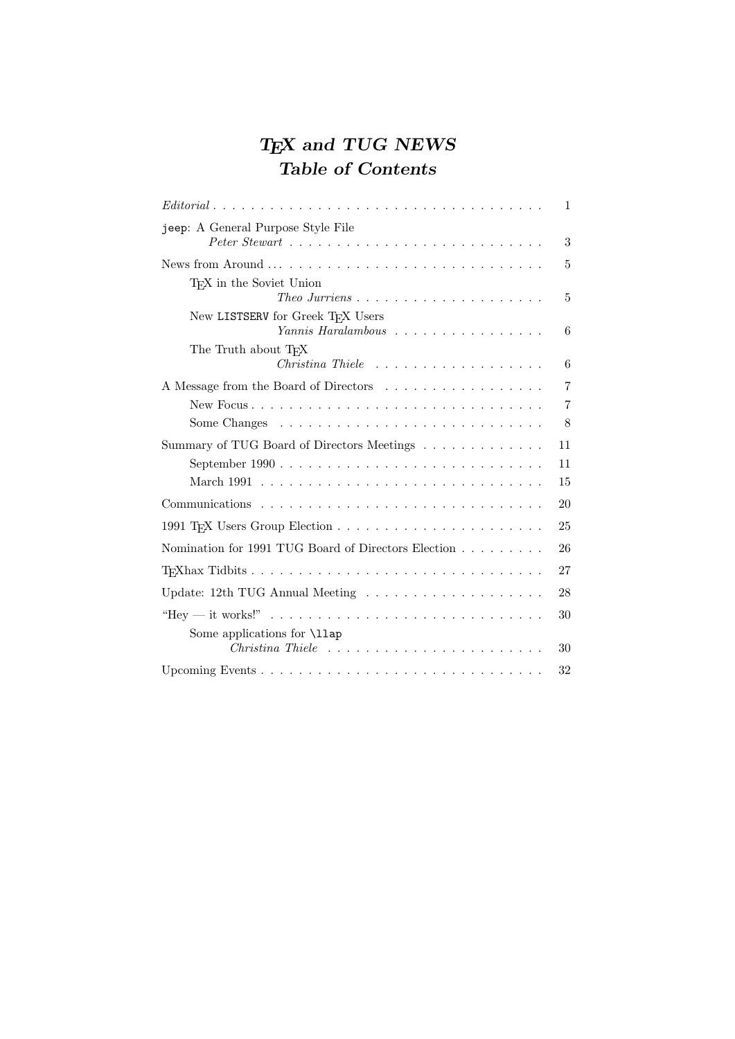# TEX and TUG NEWS Table of Contents

| $Editorial \dots \dots \dots \dots \dots \dots \dots \dots \dots \dots \dots \dots \dots \dots \dots \dots$ | $\mathbf 1$    |
|-------------------------------------------------------------------------------------------------------------|----------------|
| jeep: A General Purpose Style File                                                                          | 3              |
|                                                                                                             |                |
|                                                                                                             | 5              |
| TFX in the Soviet Union<br>Theo Jurriens $\dots \dots \dots \dots \dots \dots \dots \dots$                  | 5              |
| New LISTSERV for Greek TFX Users<br>Yannis Haralambous                                                      | 6              |
| The Truth about T <sub>F</sub> X                                                                            |                |
|                                                                                                             | 6              |
| A Message from the Board of Directors                                                                       | $\overline{7}$ |
|                                                                                                             | $\overline{7}$ |
|                                                                                                             | 8              |
| Summary of TUG Board of Directors Meetings                                                                  | 11             |
|                                                                                                             | 11             |
|                                                                                                             | 15             |
|                                                                                                             | 20             |
|                                                                                                             | 25             |
| Nomination for 1991 TUG Board of Directors Election                                                         | 26             |
|                                                                                                             | 27             |
| Update: 12th TUG Annual Meeting $\ldots \ldots \ldots \ldots \ldots \ldots$                                 | 28             |
| "Hey — it works!" $\ldots \ldots \ldots \ldots \ldots \ldots \ldots \ldots \ldots \ldots \ldots$            | 30             |
| Some applications for \11ap                                                                                 | 30             |
|                                                                                                             | 32             |
|                                                                                                             |                |